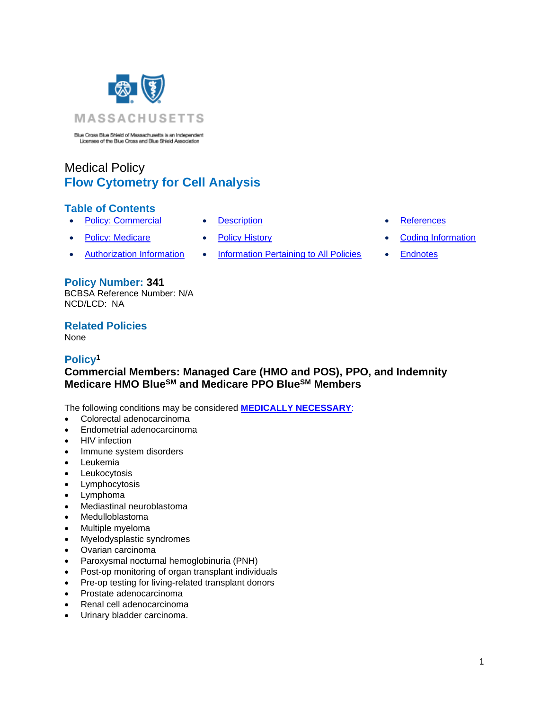

Blue Cross Blue Shield of Massachusetts is an Independent<br>Licenses of the Blue Cross and Blue Shield Association

# Medical Policy **Flow Cytometry for Cell Analysis**

#### **Table of Contents**

- [Policy: Commercial](#page-0-0) [Description](#page-1-0) Contract [References](#page-2-0)
- 
- 
- 
- 
- Authorization Information [Information Pertaining to All Policies](#page-2-1) [Endnotes](#page-26-0)
- 
- [Policy: Medicare](#page-0-0) [Policy History](#page-1-1) [Coding Information](#page-3-0)
	-

# **Policy Number: 341**

BCBSA Reference Number: N/A NCD/LCD: NA

**Related Policies** 

<span id="page-0-0"></span>None

### **Policy<sup>1</sup>**

## **Commercial Members: Managed Care (HMO and POS), PPO, and Indemnity Medicare HMO BlueSM and Medicare PPO BlueSM Members**

The following conditions may be considered **[MEDICALLY NECESSARY](https://www.bluecrossma.org/medical-policies/sites/g/files/csphws2091/files/acquiadam-assets/Definition%20of%20Med%20Nec%20Inv%20Not%20Med%20Nec%20prn.pdf#page=1)**:

- Colorectal adenocarcinoma
- Endometrial adenocarcinoma
- HIV infection
- Immune system disorders
- Leukemia
- **Leukocytosis**
- Lymphocytosis
- Lymphoma
- Mediastinal neuroblastoma
- Medulloblastoma
- Multiple myeloma
- Myelodysplastic syndromes
- Ovarian carcinoma
- Paroxysmal nocturnal hemoglobinuria (PNH)
- Post-op monitoring of organ transplant individuals
- Pre-op testing for living-related transplant donors
- Prostate adenocarcinoma
- Renal cell adenocarcinoma
- Urinary bladder carcinoma.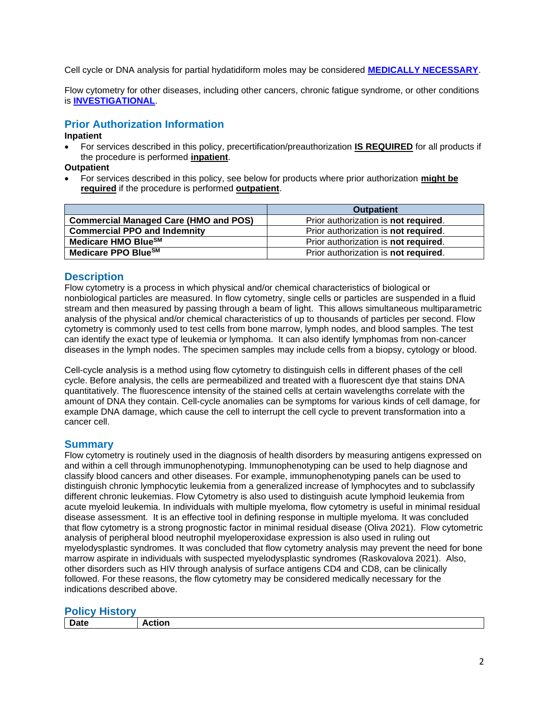Cell cycle or DNA analysis for partial hydatidiform moles may be considered **[MEDICALLY NECESSARY](https://www.bluecrossma.org/medical-policies/sites/g/files/csphws2091/files/acquiadam-assets/Definition%20of%20Med%20Nec%20Inv%20Not%20Med%20Nec%20prn.pdf#page=1)**.

Flow cytometry for other diseases, including other cancers, chronic fatigue syndrome, or other conditions is **[INVESTIGATIONAL](https://www.bluecrossma.org/medical-policies/sites/g/files/csphws2091/files/acquiadam-assets/Definition%20of%20Med%20Nec%20Inv%20Not%20Med%20Nec%20prn.pdf#page=1)**.

## **Prior Authorization Information**

#### **Inpatient**

• For services described in this policy, precertification/preauthorization **IS REQUIRED** for all products if the procedure is performed **inpatient**.

#### **Outpatient**

• For services described in this policy, see below for products where prior authorization **might be required** if the procedure is performed **outpatient**.

|                                              | <b>Outpatient</b>                    |
|----------------------------------------------|--------------------------------------|
| <b>Commercial Managed Care (HMO and POS)</b> | Prior authorization is not required. |
| <b>Commercial PPO and Indemnity</b>          | Prior authorization is not required. |
| Medicare HMO Blue <sup>SM</sup>              | Prior authorization is not required. |
| Medicare PPO Blue <sup>SM</sup>              | Prior authorization is not required. |

### <span id="page-1-0"></span>**Description**

Flow cytometry is a process in which physical and/or chemical characteristics of biological or nonbiological particles are measured. In flow cytometry, single cells or particles are suspended in a fluid stream and then measured by passing through a beam of light. This allows simultaneous multiparametric analysis of the physical and/or chemical characteristics of up to thousands of particles per second. Flow cytometry is commonly used to test cells from bone marrow, lymph nodes, and blood samples. The test can identify the exact type of leukemia or lymphoma. It can also identify lymphomas from non-cancer diseases in the lymph nodes. The specimen samples may include cells from a biopsy, cytology or blood.

Cell-cycle analysis is a method using flow cytometry to distinguish cells in different phases of the cell cycle. Before analysis, the cells are permeabilized and treated with a fluorescent dye that stains [DNA](http://en.wikipedia.org/wiki/DNA) quantitatively. The fluorescence intensity of the stained cells at certain wavelengths correlate with the amount of DNA they contain. Cell-cycle anomalies can be symptoms for various kinds of cell damage, for example DNA damage, which cause the cell to interrupt the cell cycle to prevent transformation into a cancer cell.

## **Summary**

Flow cytometry is routinely used in the diagnosis of health disorders by measuring antigens expressed on and within a cell through immunophenotyping. Immunophenotyping can be used to help diagnose and classify blood cancers and other diseases. For example, immunophenotyping panels can be used to distinguish chronic lymphocytic leukemia from a generalized increase of lymphocytes and to subclassify different chronic leukemias. Flow Cytometry is also used to distinguish acute lymphoid leukemia from acute myeloid leukemia. In individuals with multiple myeloma, flow cytometry is useful in minimal residual disease assessment. It is an effective tool in defining response in multiple myeloma. It was concluded that flow cytometry is a strong prognostic factor in minimal residual disease (Oliva 2021). Flow cytometric analysis of peripheral blood neutrophil myeloperoxidase expression is also used in ruling out myelodysplastic syndromes. It was concluded that flow cytometry analysis may prevent the need for bone marrow aspirate in individuals with suspected myelodysplastic syndromes (Raskovalova 2021). Also, other disorders such as HIV through analysis of surface antigens CD4 and CD8, can be clinically followed. For these reasons, the flow cytometry may be considered medically necessary for the indications described above.

#### <span id="page-1-1"></span>**Policy History**

**Date Action**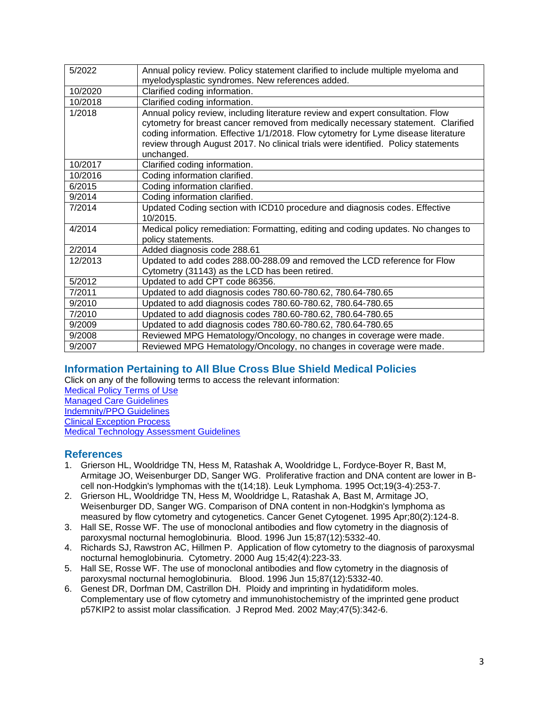| 5/2022  | Annual policy review. Policy statement clarified to include multiple myeloma and                                                                                                                                                                                                                                                                              |
|---------|---------------------------------------------------------------------------------------------------------------------------------------------------------------------------------------------------------------------------------------------------------------------------------------------------------------------------------------------------------------|
|         | myelodysplastic syndromes. New references added.                                                                                                                                                                                                                                                                                                              |
| 10/2020 | Clarified coding information.                                                                                                                                                                                                                                                                                                                                 |
| 10/2018 | Clarified coding information.                                                                                                                                                                                                                                                                                                                                 |
| 1/2018  | Annual policy review, including literature review and expert consultation. Flow<br>cytometry for breast cancer removed from medically necessary statement. Clarified<br>coding information. Effective 1/1/2018. Flow cytometry for Lyme disease literature<br>review through August 2017. No clinical trials were identified. Policy statements<br>unchanged. |
| 10/2017 | Clarified coding information.                                                                                                                                                                                                                                                                                                                                 |
| 10/2016 | Coding information clarified.                                                                                                                                                                                                                                                                                                                                 |
| 6/2015  | Coding information clarified.                                                                                                                                                                                                                                                                                                                                 |
| 9/2014  | Coding information clarified.                                                                                                                                                                                                                                                                                                                                 |
| 7/2014  | Updated Coding section with ICD10 procedure and diagnosis codes. Effective<br>10/2015.                                                                                                                                                                                                                                                                        |
| 4/2014  | Medical policy remediation: Formatting, editing and coding updates. No changes to<br>policy statements.                                                                                                                                                                                                                                                       |
| 2/2014  | Added diagnosis code 288.61                                                                                                                                                                                                                                                                                                                                   |
| 12/2013 | Updated to add codes 288.00-288.09 and removed the LCD reference for Flow                                                                                                                                                                                                                                                                                     |
|         | Cytometry (31143) as the LCD has been retired.                                                                                                                                                                                                                                                                                                                |
| 5/2012  | Updated to add CPT code 86356.                                                                                                                                                                                                                                                                                                                                |
| 7/2011  | Updated to add diagnosis codes 780.60-780.62, 780.64-780.65                                                                                                                                                                                                                                                                                                   |
| 9/2010  | Updated to add diagnosis codes 780.60-780.62, 780.64-780.65                                                                                                                                                                                                                                                                                                   |
| 7/2010  | Updated to add diagnosis codes 780.60-780.62, 780.64-780.65                                                                                                                                                                                                                                                                                                   |
| 9/2009  | Updated to add diagnosis codes 780.60-780.62, 780.64-780.65                                                                                                                                                                                                                                                                                                   |
| 9/2008  | Reviewed MPG Hematology/Oncology, no changes in coverage were made.                                                                                                                                                                                                                                                                                           |
| 9/2007  | Reviewed MPG Hematology/Oncology, no changes in coverage were made.                                                                                                                                                                                                                                                                                           |
|         |                                                                                                                                                                                                                                                                                                                                                               |

## <span id="page-2-1"></span>**Information Pertaining to All Blue Cross Blue Shield Medical Policies**

Click on any of the following terms to access the relevant information: [Medical Policy Terms of Use](http://www.bluecrossma.org/medical-policies/sites/g/files/csphws2091/files/acquiadam-assets/Medical_Policy_Terms_of_Use_prn.pdf) [Managed Care Guidelines](http://www.bluecrossma.org/medical-policies/sites/g/files/csphws2091/files/acquiadam-assets/Managed_Care_Guidelines_prn.pdf) [Indemnity/PPO Guidelines](http://www.bluecrossma.org/medical-policies/sites/g/files/csphws2091/files/acquiadam-assets/Indemnity_and_PPO_Guidelines_prn.pdf) [Clinical Exception Process](http://www.bluecrossma.org/medical-policies/sites/g/files/csphws2091/files/acquiadam-assets/Clinical_Exception_Process_prn.pdf) [Medical Technology Assessment Guidelines](http://www.bluecrossma.org/medical-policies/sites/g/files/csphws2091/files/acquiadam-assets/Medical_Technology_Assessment_Guidelines_prn.pdf)

## <span id="page-2-0"></span>**References**

- 1. [Grierson HL,](http://www.ncbi.nlm.nih.gov/pubmed?term=Grierson%20HL%5BAuthor%5D&cauthor=true&cauthor_uid=8535216) Wooldridge TN, [Hess M,](http://www.ncbi.nlm.nih.gov/pubmed?term=Hess%20M%5BAuthor%5D&cauthor=true&cauthor_uid=8535216) [Ratashak A,](http://www.ncbi.nlm.nih.gov/pubmed?term=Ratashak%20A%5BAuthor%5D&cauthor=true&cauthor_uid=8535216) [Wooldridge L,](http://www.ncbi.nlm.nih.gov/pubmed?term=Wooldridge%20L%5BAuthor%5D&cauthor=true&cauthor_uid=8535216) Fordyce-Boyer R, [Bast M,](http://www.ncbi.nlm.nih.gov/pubmed?term=Bast%20M%5BAuthor%5D&cauthor=true&cauthor_uid=8535216) [Armitage JO,](http://www.ncbi.nlm.nih.gov/pubmed?term=Armitage%20JO%5BAuthor%5D&cauthor=true&cauthor_uid=8535216) [Weisenburger DD,](http://www.ncbi.nlm.nih.gov/pubmed?term=Weisenburger%20DD%5BAuthor%5D&cauthor=true&cauthor_uid=8535216) Sanger [WG.](http://www.ncbi.nlm.nih.gov/pubmed?term=Sanger%20WG%5BAuthor%5D&cauthor=true&cauthor_uid=8535216) [Proliferative fraction and DNA content are lower in B](http://www.ncbi.nlm.nih.gov/pubmed/8535216)[cell non-Hodgkin's lymphomas with the t\(14;18\).](http://www.ncbi.nlm.nih.gov/pubmed/8535216) [Leuk Lymphoma.](http://www.ncbi.nlm.nih.gov/pubmed/8535216) 1995 Oct;19(3-4):253-7.
- 2. [Grierson HL,](http://www.ncbi.nlm.nih.gov/pubmed?term=Grierson%20HL%5BAuthor%5D&cauthor=true&cauthor_uid=7736429) [Wooldridge TN,](http://www.ncbi.nlm.nih.gov/pubmed?term=Wooldridge%20TN%5BAuthor%5D&cauthor=true&cauthor_uid=7736429) [Hess M,](http://www.ncbi.nlm.nih.gov/pubmed?term=Hess%20M%5BAuthor%5D&cauthor=true&cauthor_uid=7736429) [Wooldridge L,](http://www.ncbi.nlm.nih.gov/pubmed?term=Wooldridge%20L%5BAuthor%5D&cauthor=true&cauthor_uid=7736429) [Ratashak A,](http://www.ncbi.nlm.nih.gov/pubmed?term=Ratashak%20A%5BAuthor%5D&cauthor=true&cauthor_uid=7736429) [Bast M,](http://www.ncbi.nlm.nih.gov/pubmed?term=Bast%20M%5BAuthor%5D&cauthor=true&cauthor_uid=7736429) [Armitage JO,](http://www.ncbi.nlm.nih.gov/pubmed?term=Armitage%20JO%5BAuthor%5D&cauthor=true&cauthor_uid=7736429) [Weisenburger DD,](http://www.ncbi.nlm.nih.gov/pubmed?term=Weisenburger%20DD%5BAuthor%5D&cauthor=true&cauthor_uid=7736429) [Sanger WG.](http://www.ncbi.nlm.nih.gov/pubmed?term=Sanger%20WG%5BAuthor%5D&cauthor=true&cauthor_uid=7736429) Comparison of DNA content in non-Hodgkin's lymphoma as measured by flow cytometry and cytogenetics. Cancer Genet Cytogenet. 1995 Apr;80(2):124-8.
- 3. Hall SE, [Rosse WF.](http://www.ncbi.nlm.nih.gov/pubmed?term=Rosse%20WF%5BAuthor%5D&cauthor=true&cauthor_uid=8652849) The use of monoclonal antibodies and flow cytometry in the diagnosis of paroxysmal nocturnal hemoglobinuria. Blood. 1996 Jun 15;87(12):5332-40.
- 4. Richards SJ, [Rawstron AC,](http://www.ncbi.nlm.nih.gov/pubmed?term=Rawstron%20AC%5BAuthor%5D&cauthor=true&cauthor_uid=10934341) [Hillmen P.](http://www.ncbi.nlm.nih.gov/pubmed?term=Hillmen%20P%5BAuthor%5D&cauthor=true&cauthor_uid=10934341) Application of flow cytometry to the diagnosis of paroxysmal nocturnal hemoglobinuria. [Cytometry.](http://www.ncbi.nlm.nih.gov/pubmed/?term=5.%09Cytometry+(Communications+in+Clinical+Cytometry)+42%3A223-233%2C+2000.++Applications+of+Flow+Cytometry+to+the+Diagnosis+of+PNH) 2000 Aug 15;42(4):223-33.
- 5. Hall SE, [Rosse WF.](http://www.ncbi.nlm.nih.gov/pubmed?term=Rosse%20WF%5BAuthor%5D&cauthor=true&cauthor_uid=8652849) The use of monoclonal antibodies and flow cytometry in the diagnosis of paroxysmal nocturnal hemoglobinuria. Blood. 1996 Jun 15;87(12):5332-40.
- 6. [Genest DR,](http://www.ncbi.nlm.nih.gov/pubmed?term=Genest%20DR%5BAuthor%5D&cauthor=true&cauthor_uid=12063872) [Dorfman DM,](http://www.ncbi.nlm.nih.gov/pubmed?term=Dorfman%20DM%5BAuthor%5D&cauthor=true&cauthor_uid=12063872) [Castrillon DH.](http://www.ncbi.nlm.nih.gov/pubmed?term=Castrillon%20DH%5BAuthor%5D&cauthor=true&cauthor_uid=12063872) Ploidy and imprinting in hydatidiform moles. Complementary use of flow cytometry and immunohistochemistry of the imprinted gene product p57KIP2 to assist molar classification. [J Reprod Med.](http://www.ncbi.nlm.nih.gov/pubmed/?term=Genest+DR%2C+et+al.+J+Repro+Med+2002+May%3B47(5)%3A342-6) 2002 May;47(5):342-6.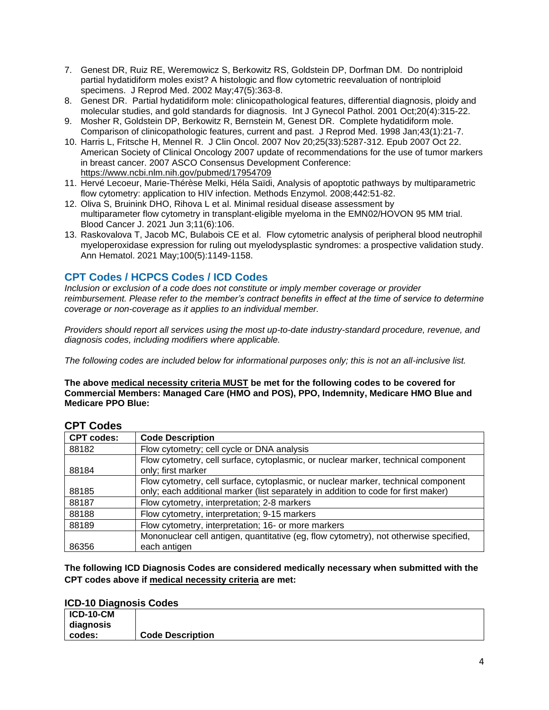- 7. [Genest DR,](http://www.ncbi.nlm.nih.gov/pubmed?term=Genest%20DR%5BAuthor%5D&cauthor=true&cauthor_uid=12068831) [Ruiz RE,](http://www.ncbi.nlm.nih.gov/pubmed?term=Ruiz%20RE%5BAuthor%5D&cauthor=true&cauthor_uid=12068831) [Weremowicz S,](http://www.ncbi.nlm.nih.gov/pubmed?term=Weremowicz%20S%5BAuthor%5D&cauthor=true&cauthor_uid=12068831) [Berkowitz RS,](http://www.ncbi.nlm.nih.gov/pubmed?term=Berkowitz%20RS%5BAuthor%5D&cauthor=true&cauthor_uid=12068831) [Goldstein DP,](http://www.ncbi.nlm.nih.gov/pubmed?term=Goldstein%20DP%5BAuthor%5D&cauthor=true&cauthor_uid=12068831) [Dorfman](http://www.ncbi.nlm.nih.gov/pubmed?term=Dorfman%20DM%5BAuthor%5D&cauthor=true&cauthor_uid=12068831) DM. Do nontriploid partial hydatidiform moles exist? A histologic and flow cytometric reevaluation of nontriploid specimens. [J Reprod Med.](http://www.ncbi.nlm.nih.gov/pubmed/?term=Genest+DR%2C+et+al.+J+Reprod+Med+2002+May%3B47(5)%3A363-8) 2002 May;47(5):363-8.
- 8. [Genest DR.](http://www.ncbi.nlm.nih.gov/pubmed?term=Genest%20DR%5BAuthor%5D&cauthor=true&cauthor_uid=11603213) Partial hydatidiform mole: clinicopathological features, differential diagnosis, ploidy and molecular studies, and gold standards for diagnosis. [Int J Gynecol Pathol.](http://www.ncbi.nlm.nih.gov/pubmed/?term=Genest+DR.+Int+J+Gynecol+Pathol+2001+)ct%3B20(4)%3A315-22) 2001 Oct;20(4):315-22.
- 9. [Mosher R,](http://www.ncbi.nlm.nih.gov/pubmed?term=Mosher%20R%5BAuthor%5D&cauthor=true&cauthor_uid=9475145) [Goldstein DP,](http://www.ncbi.nlm.nih.gov/pubmed?term=Goldstein%20DP%5BAuthor%5D&cauthor=true&cauthor_uid=9475145) [Berkowitz R,](http://www.ncbi.nlm.nih.gov/pubmed?term=Berkowitz%20R%5BAuthor%5D&cauthor=true&cauthor_uid=9475145) [Bernstein M,](http://www.ncbi.nlm.nih.gov/pubmed?term=Bernstein%20M%5BAuthor%5D&cauthor=true&cauthor_uid=9475145) [Genest DR.](http://www.ncbi.nlm.nih.gov/pubmed?term=Genest%20DR%5BAuthor%5D&cauthor=true&cauthor_uid=9475145) Complete hydatidiform mole. Comparison of clinicopathologic features, current and past. J Reprod Med. 1998 Jan;43(1):21-7.
- 10. Harris L, Fritsche H, Mennel R. J Clin Oncol. 2007 Nov 20;25(33):5287-312. Epub 2007 Oct 22. American Society of Clinical Oncology 2007 update of recommendations for the use of tumor markers in breast cancer. 2007 ASCO Consensus Development Conference: <https://www.ncbi.nlm.nih.gov/pubmed/17954709>
- 11. Hervé Lecoeur, Marie-Thérèse Melki, Héla Saïdi, Analysis of apoptotic pathways by multiparametric flow cytometry: application to HIV infection. Methods Enzymol. 2008;442:51-82.
- 12. Oliva S, Bruinink DHO, Rihova L et al. [Minimal residual disease assessment by](https://pubmed.ncbi.nlm.nih.gov/34083504/)  multiparameter flow cytometry in transplant-eligible myeloma [in the EMN02/HOVON 95 MM trial.](https://pubmed.ncbi.nlm.nih.gov/34083504/) Blood Cancer J. 2021 Jun 3;11(6):106.
- 13. Raskovalova T, Jacob MC, Bulabois CE et al. Flow cytometric analysis [of peripheral blood neutrophil](https://pubmed.ncbi.nlm.nih.gov/33569703/)  [myeloperoxidase expression for ruling out myelodysplastic](https://pubmed.ncbi.nlm.nih.gov/33569703/) syndromes: a prospective validation study. Ann Hematol. 2021 May;100(5):1149-1158.

## <span id="page-3-0"></span>**CPT Codes / HCPCS Codes / ICD Codes**

*Inclusion or exclusion of a code does not constitute or imply member coverage or provider reimbursement. Please refer to the member's contract benefits in effect at the time of service to determine coverage or non-coverage as it applies to an individual member.*

*Providers should report all services using the most up-to-date industry-standard procedure, revenue, and diagnosis codes, including modifiers where applicable.*

*The following codes are included below for informational purposes only; this is not an all-inclusive list.*

**The above medical necessity criteria MUST be met for the following codes to be covered for Commercial Members: Managed Care (HMO and POS), PPO, Indemnity, Medicare HMO Blue and Medicare PPO Blue:**

### **CPT Codes**

| <b>CPT codes:</b> | <b>Code Description</b>                                                               |
|-------------------|---------------------------------------------------------------------------------------|
| 88182             | Flow cytometry; cell cycle or DNA analysis                                            |
|                   | Flow cytometry, cell surface, cytoplasmic, or nuclear marker, technical component     |
| 88184             | only; first marker                                                                    |
|                   | Flow cytometry, cell surface, cytoplasmic, or nuclear marker, technical component     |
| 88185             | only; each additional marker (list separately in addition to code for first maker)    |
| 88187             | Flow cytometry, interpretation; 2-8 markers                                           |
| 88188             | Flow cytometry, interpretation; 9-15 markers                                          |
| 88189             | Flow cytometry, interpretation; 16- or more markers                                   |
|                   | Mononuclear cell antigen, quantitative (eg, flow cytometry), not otherwise specified, |
| 86356             | each antigen                                                                          |

**The following ICD Diagnosis Codes are considered medically necessary when submitted with the CPT codes above if medical necessity criteria are met:**

#### **ICD-10 Diagnosis Codes**

| $ICD-10-CM$ |                         |
|-------------|-------------------------|
| diagnosis   |                         |
| codes:      | <b>Code Description</b> |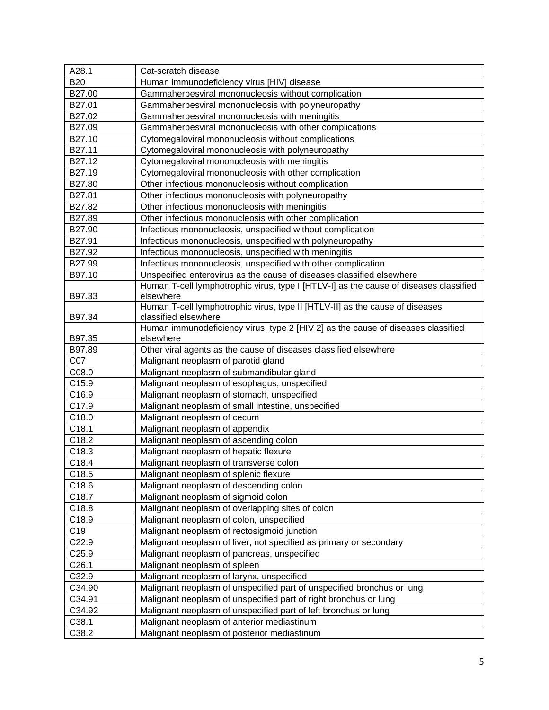| A28.1             | Cat-scratch disease                                                                   |
|-------------------|---------------------------------------------------------------------------------------|
| <b>B20</b>        | Human immunodeficiency virus [HIV] disease                                            |
| B27.00            | Gammaherpesviral mononucleosis without complication                                   |
| B27.01            | Gammaherpesviral mononucleosis with polyneuropathy                                    |
| B27.02            | Gammaherpesviral mononucleosis with meningitis                                        |
| B27.09            | Gammaherpesviral mononucleosis with other complications                               |
| B27.10            | Cytomegaloviral mononucleosis without complications                                   |
| B27.11            | Cytomegaloviral mononucleosis with polyneuropathy                                     |
| B27.12            | Cytomegaloviral mononucleosis with meningitis                                         |
| B27.19            | Cytomegaloviral mononucleosis with other complication                                 |
| B27.80            | Other infectious mononucleosis without complication                                   |
| B27.81            | Other infectious mononucleosis with polyneuropathy                                    |
| B27.82            | Other infectious mononucleosis with meningitis                                        |
| B27.89            | Other infectious mononucleosis with other complication                                |
| B27.90            | Infectious mononucleosis, unspecified without complication                            |
| B27.91            | Infectious mononucleosis, unspecified with polyneuropathy                             |
| B27.92            | Infectious mononucleosis, unspecified with meningitis                                 |
| B27.99            | Infectious mononucleosis, unspecified with other complication                         |
| B97.10            | Unspecified enterovirus as the cause of diseases classified elsewhere                 |
|                   | Human T-cell lymphotrophic virus, type I [HTLV-I] as the cause of diseases classified |
| B97.33            | elsewhere                                                                             |
|                   | Human T-cell lymphotrophic virus, type II [HTLV-II] as the cause of diseases          |
| B97.34            | classified elsewhere                                                                  |
|                   | Human immunodeficiency virus, type 2 [HIV 2] as the cause of diseases classified      |
| B97.35            | elsewhere                                                                             |
| B97.89            | Other viral agents as the cause of diseases classified elsewhere                      |
| CO <sub>7</sub>   | Malignant neoplasm of parotid gland                                                   |
| C08.0             | Malignant neoplasm of submandibular gland                                             |
| C15.9             | Malignant neoplasm of esophagus, unspecified                                          |
| C16.9             | Malignant neoplasm of stomach, unspecified                                            |
| C17.9             | Malignant neoplasm of small intestine, unspecified                                    |
| C18.0             | Malignant neoplasm of cecum                                                           |
| C18.1             | Malignant neoplasm of appendix                                                        |
| C18.2             | Malignant neoplasm of ascending colon                                                 |
| C18.3             | Malignant neoplasm of hepatic flexure                                                 |
| C18.4             | Malignant neoplasm of transverse colon                                                |
| C18.5             | Malignant neoplasm of splenic flexure                                                 |
| C18.6             | Malignant neoplasm of descending colon                                                |
| C18.7             | Malignant neoplasm of sigmoid colon                                                   |
| C18.8             | Malignant neoplasm of overlapping sites of colon                                      |
| C18.9             | Malignant neoplasm of colon, unspecified                                              |
| C <sub>19</sub>   | Malignant neoplasm of rectosigmoid junction                                           |
| C22.9             | Malignant neoplasm of liver, not specified as primary or secondary                    |
| C <sub>25.9</sub> | Malignant neoplasm of pancreas, unspecified                                           |
| C <sub>26.1</sub> | Malignant neoplasm of spleen                                                          |
| C32.9             | Malignant neoplasm of larynx, unspecified                                             |
| C34.90            | Malignant neoplasm of unspecified part of unspecified bronchus or lung                |
| C34.91            | Malignant neoplasm of unspecified part of right bronchus or lung                      |
| C34.92            | Malignant neoplasm of unspecified part of left bronchus or lung                       |
| C38.1             | Malignant neoplasm of anterior mediastinum                                            |
| C38.2             | Malignant neoplasm of posterior mediastinum                                           |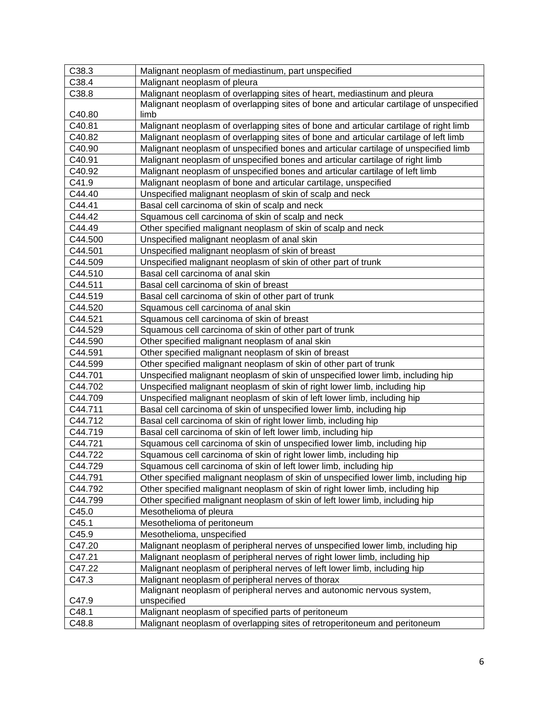| C38.3   | Malignant neoplasm of mediastinum, part unspecified                                    |
|---------|----------------------------------------------------------------------------------------|
| C38.4   | Malignant neoplasm of pleura                                                           |
| C38.8   | Malignant neoplasm of overlapping sites of heart, mediastinum and pleura               |
|         | Malignant neoplasm of overlapping sites of bone and articular cartilage of unspecified |
| C40.80  | limb                                                                                   |
| C40.81  | Malignant neoplasm of overlapping sites of bone and articular cartilage of right limb  |
| C40.82  | Malignant neoplasm of overlapping sites of bone and articular cartilage of left limb   |
| C40.90  | Malignant neoplasm of unspecified bones and articular cartilage of unspecified limb    |
| C40.91  | Malignant neoplasm of unspecified bones and articular cartilage of right limb          |
| C40.92  | Malignant neoplasm of unspecified bones and articular cartilage of left limb           |
| C41.9   | Malignant neoplasm of bone and articular cartilage, unspecified                        |
| C44.40  | Unspecified malignant neoplasm of skin of scalp and neck                               |
| C44.41  | Basal cell carcinoma of skin of scalp and neck                                         |
| C44.42  | Squamous cell carcinoma of skin of scalp and neck                                      |
| C44.49  | Other specified malignant neoplasm of skin of scalp and neck                           |
| C44.500 | Unspecified malignant neoplasm of anal skin                                            |
| C44.501 | Unspecified malignant neoplasm of skin of breast                                       |
| C44.509 | Unspecified malignant neoplasm of skin of other part of trunk                          |
| C44.510 | Basal cell carcinoma of anal skin                                                      |
| C44.511 | Basal cell carcinoma of skin of breast                                                 |
| C44.519 | Basal cell carcinoma of skin of other part of trunk                                    |
| C44.520 | Squamous cell carcinoma of anal skin                                                   |
| C44.521 | Squamous cell carcinoma of skin of breast                                              |
| C44.529 | Squamous cell carcinoma of skin of other part of trunk                                 |
| C44.590 | Other specified malignant neoplasm of anal skin                                        |
| C44.591 | Other specified malignant neoplasm of skin of breast                                   |
| C44.599 | Other specified malignant neoplasm of skin of other part of trunk                      |
| C44.701 | Unspecified malignant neoplasm of skin of unspecified lower limb, including hip        |
| C44.702 | Unspecified malignant neoplasm of skin of right lower limb, including hip              |
| C44.709 | Unspecified malignant neoplasm of skin of left lower limb, including hip               |
| C44.711 | Basal cell carcinoma of skin of unspecified lower limb, including hip                  |
| C44.712 | Basal cell carcinoma of skin of right lower limb, including hip                        |
| C44.719 | Basal cell carcinoma of skin of left lower limb, including hip                         |
| C44.721 | Squamous cell carcinoma of skin of unspecified lower limb, including hip               |
| C44.722 | Squamous cell carcinoma of skin of right lower limb, including hip                     |
| C44.729 | Squamous cell carcinoma of skin of left lower limb, including hip                      |
| C44.791 | Other specified malignant neoplasm of skin of unspecified lower limb, including hip    |
| C44.792 | Other specified malignant neoplasm of skin of right lower limb, including hip          |
| C44.799 | Other specified malignant neoplasm of skin of left lower limb, including hip           |
| C45.0   | Mesothelioma of pleura                                                                 |
| C45.1   | Mesothelioma of peritoneum                                                             |
| C45.9   | Mesothelioma, unspecified                                                              |
| C47.20  | Malignant neoplasm of peripheral nerves of unspecified lower limb, including hip       |
| C47.21  | Malignant neoplasm of peripheral nerves of right lower limb, including hip             |
| C47.22  | Malignant neoplasm of peripheral nerves of left lower limb, including hip              |
| C47.3   | Malignant neoplasm of peripheral nerves of thorax                                      |
|         | Malignant neoplasm of peripheral nerves and autonomic nervous system,                  |
| C47.9   | unspecified                                                                            |
| C48.1   | Malignant neoplasm of specified parts of peritoneum                                    |
| C48.8   | Malignant neoplasm of overlapping sites of retroperitoneum and peritoneum              |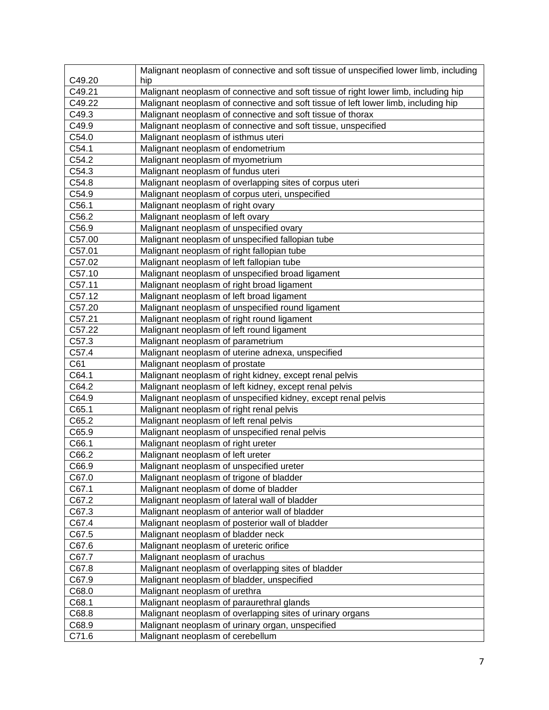|        | Malignant neoplasm of connective and soft tissue of unspecified lower limb, including |
|--------|---------------------------------------------------------------------------------------|
| C49.20 | hip                                                                                   |
| C49.21 | Malignant neoplasm of connective and soft tissue of right lower limb, including hip   |
| C49.22 | Malignant neoplasm of connective and soft tissue of left lower limb, including hip    |
| C49.3  | Malignant neoplasm of connective and soft tissue of thorax                            |
| C49.9  | Malignant neoplasm of connective and soft tissue, unspecified                         |
| C54.0  | Malignant neoplasm of isthmus uteri                                                   |
| C54.1  | Malignant neoplasm of endometrium                                                     |
| C54.2  | Malignant neoplasm of myometrium                                                      |
| C54.3  | Malignant neoplasm of fundus uteri                                                    |
| C54.8  | Malignant neoplasm of overlapping sites of corpus uteri                               |
| C54.9  | Malignant neoplasm of corpus uteri, unspecified                                       |
| C56.1  | Malignant neoplasm of right ovary                                                     |
| C56.2  | Malignant neoplasm of left ovary                                                      |
| C56.9  | Malignant neoplasm of unspecified ovary                                               |
| C57.00 | Malignant neoplasm of unspecified fallopian tube                                      |
| C57.01 | Malignant neoplasm of right fallopian tube                                            |
| C57.02 | Malignant neoplasm of left fallopian tube                                             |
| C57.10 | Malignant neoplasm of unspecified broad ligament                                      |
| C57.11 | Malignant neoplasm of right broad ligament                                            |
| C57.12 | Malignant neoplasm of left broad ligament                                             |
| C57.20 | Malignant neoplasm of unspecified round ligament                                      |
| C57.21 | Malignant neoplasm of right round ligament                                            |
| C57.22 | Malignant neoplasm of left round ligament                                             |
| C57.3  | Malignant neoplasm of parametrium                                                     |
| C57.4  | Malignant neoplasm of uterine adnexa, unspecified                                     |
| C61    | Malignant neoplasm of prostate                                                        |
| C64.1  | Malignant neoplasm of right kidney, except renal pelvis                               |
| C64.2  | Malignant neoplasm of left kidney, except renal pelvis                                |
| C64.9  | Malignant neoplasm of unspecified kidney, except renal pelvis                         |
| C65.1  | Malignant neoplasm of right renal pelvis                                              |
| C65.2  | Malignant neoplasm of left renal pelvis                                               |
| C65.9  | Malignant neoplasm of unspecified renal pelvis                                        |
| C66.1  | Malignant neoplasm of right ureter                                                    |
| C66.2  | Malignant neoplasm of left ureter                                                     |
| C66.9  | Malignant neoplasm of unspecified ureter                                              |
| C67.0  | Malignant neoplasm of trigone of bladder                                              |
| C67.1  | Malignant neoplasm of dome of bladder                                                 |
| C67.2  | Malignant neoplasm of lateral wall of bladder                                         |
| C67.3  | Malignant neoplasm of anterior wall of bladder                                        |
| C67.4  | Malignant neoplasm of posterior wall of bladder                                       |
| C67.5  | Malignant neoplasm of bladder neck                                                    |
| C67.6  | Malignant neoplasm of ureteric orifice                                                |
| C67.7  | Malignant neoplasm of urachus                                                         |
| C67.8  | Malignant neoplasm of overlapping sites of bladder                                    |
| C67.9  | Malignant neoplasm of bladder, unspecified                                            |
| C68.0  | Malignant neoplasm of urethra                                                         |
| C68.1  | Malignant neoplasm of paraurethral glands                                             |
| C68.8  | Malignant neoplasm of overlapping sites of urinary organs                             |
| C68.9  | Malignant neoplasm of urinary organ, unspecified                                      |
| C71.6  | Malignant neoplasm of cerebellum                                                      |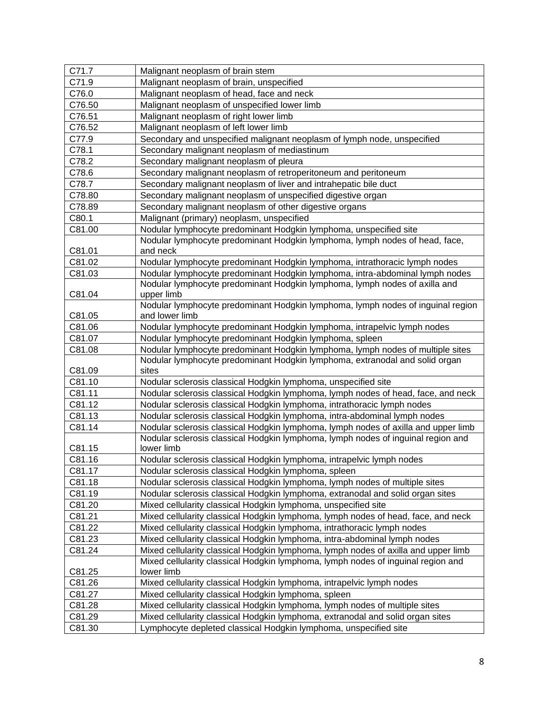| C71.7            | Malignant neoplasm of brain stem                                                                                                    |
|------------------|-------------------------------------------------------------------------------------------------------------------------------------|
| C71.9            | Malignant neoplasm of brain, unspecified                                                                                            |
| C76.0            | Malignant neoplasm of head, face and neck                                                                                           |
| C76.50           | Malignant neoplasm of unspecified lower limb                                                                                        |
| C76.51           | Malignant neoplasm of right lower limb                                                                                              |
| C76.52           | Malignant neoplasm of left lower limb                                                                                               |
| C77.9            | Secondary and unspecified malignant neoplasm of lymph node, unspecified                                                             |
| C78.1            | Secondary malignant neoplasm of mediastinum                                                                                         |
| C78.2            | Secondary malignant neoplasm of pleura                                                                                              |
| C78.6            | Secondary malignant neoplasm of retroperitoneum and peritoneum                                                                      |
| C78.7            | Secondary malignant neoplasm of liver and intrahepatic bile duct                                                                    |
| C78.80           | Secondary malignant neoplasm of unspecified digestive organ                                                                         |
| C78.89           | Secondary malignant neoplasm of other digestive organs                                                                              |
| C80.1            | Malignant (primary) neoplasm, unspecified                                                                                           |
| C81.00           | Nodular lymphocyte predominant Hodgkin lymphoma, unspecified site                                                                   |
|                  | Nodular lymphocyte predominant Hodgkin lymphoma, lymph nodes of head, face,                                                         |
| C81.01           | and neck                                                                                                                            |
| C81.02           | Nodular lymphocyte predominant Hodgkin lymphoma, intrathoracic lymph nodes                                                          |
| C81.03           | Nodular lymphocyte predominant Hodgkin lymphoma, intra-abdominal lymph nodes                                                        |
|                  | Nodular lymphocyte predominant Hodgkin lymphoma, lymph nodes of axilla and                                                          |
| C81.04           | upper limb                                                                                                                          |
|                  | Nodular lymphocyte predominant Hodgkin lymphoma, lymph nodes of inguinal region<br>and lower limb                                   |
| C81.05           |                                                                                                                                     |
| C81.06<br>C81.07 | Nodular lymphocyte predominant Hodgkin lymphoma, intrapelvic lymph nodes<br>Nodular lymphocyte predominant Hodgkin lymphoma, spleen |
| C81.08           | Nodular lymphocyte predominant Hodgkin lymphoma, lymph nodes of multiple sites                                                      |
|                  | Nodular lymphocyte predominant Hodgkin lymphoma, extranodal and solid organ                                                         |
| C81.09           | sites                                                                                                                               |
| C81.10           | Nodular sclerosis classical Hodgkin lymphoma, unspecified site                                                                      |
| C81.11           | Nodular sclerosis classical Hodgkin lymphoma, lymph nodes of head, face, and neck                                                   |
| C81.12           | Nodular sclerosis classical Hodgkin lymphoma, intrathoracic lymph nodes                                                             |
| C81.13           | Nodular sclerosis classical Hodgkin lymphoma, intra-abdominal lymph nodes                                                           |
| C81.14           | Nodular sclerosis classical Hodgkin lymphoma, lymph nodes of axilla and upper limb                                                  |
|                  | Nodular sclerosis classical Hodgkin lymphoma, lymph nodes of inguinal region and                                                    |
| C81.15           | lower limb                                                                                                                          |
| C81.16           | Nodular sclerosis classical Hodgkin lymphoma, intrapelvic lymph nodes                                                               |
| C81.17           | Nodular sclerosis classical Hodgkin lymphoma, spleen                                                                                |
| C81.18           | Nodular sclerosis classical Hodgkin lymphoma, lymph nodes of multiple sites                                                         |
| C81.19           | Nodular sclerosis classical Hodgkin lymphoma, extranodal and solid organ sites                                                      |
| C81.20           | Mixed cellularity classical Hodgkin lymphoma, unspecified site                                                                      |
| C81.21           | Mixed cellularity classical Hodgkin lymphoma, lymph nodes of head, face, and neck                                                   |
| C81.22           | Mixed cellularity classical Hodgkin lymphoma, intrathoracic lymph nodes                                                             |
| C81.23           | Mixed cellularity classical Hodgkin lymphoma, intra-abdominal lymph nodes                                                           |
| C81.24           | Mixed cellularity classical Hodgkin lymphoma, lymph nodes of axilla and upper limb                                                  |
|                  | Mixed cellularity classical Hodgkin lymphoma, lymph nodes of inguinal region and                                                    |
| C81.25           | lower limb                                                                                                                          |
| C81.26           | Mixed cellularity classical Hodgkin lymphoma, intrapelvic lymph nodes                                                               |
| C81.27           | Mixed cellularity classical Hodgkin lymphoma, spleen                                                                                |
| C81.28           | Mixed cellularity classical Hodgkin lymphoma, lymph nodes of multiple sites                                                         |
| C81.29           | Mixed cellularity classical Hodgkin lymphoma, extranodal and solid organ sites                                                      |
| C81.30           | Lymphocyte depleted classical Hodgkin lymphoma, unspecified site                                                                    |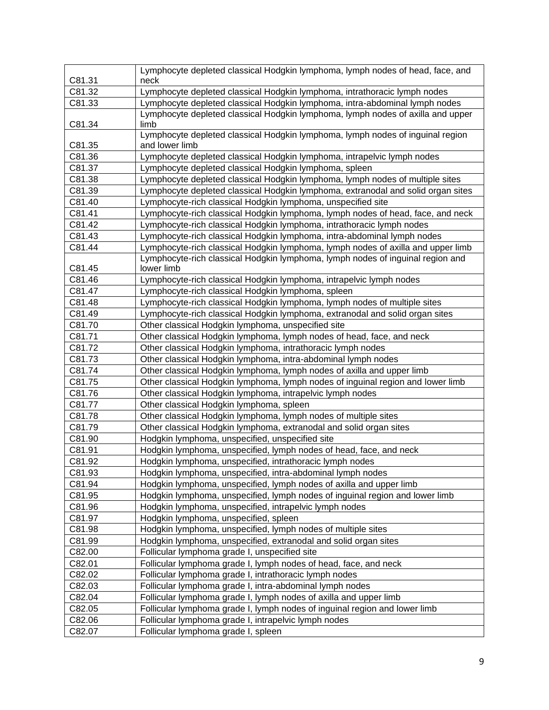|        | Lymphocyte depleted classical Hodgkin lymphoma, lymph nodes of head, face, and                   |
|--------|--------------------------------------------------------------------------------------------------|
| C81.31 | neck                                                                                             |
| C81.32 | Lymphocyte depleted classical Hodgkin lymphoma, intrathoracic lymph nodes                        |
| C81.33 | Lymphocyte depleted classical Hodgkin lymphoma, intra-abdominal lymph nodes                      |
| C81.34 | Lymphocyte depleted classical Hodgkin lymphoma, lymph nodes of axilla and upper<br>limb          |
| C81.35 | Lymphocyte depleted classical Hodgkin lymphoma, lymph nodes of inguinal region<br>and lower limb |
| C81.36 | Lymphocyte depleted classical Hodgkin lymphoma, intrapelvic lymph nodes                          |
| C81.37 | Lymphocyte depleted classical Hodgkin lymphoma, spleen                                           |
| C81.38 | Lymphocyte depleted classical Hodgkin lymphoma, lymph nodes of multiple sites                    |
| C81.39 | Lymphocyte depleted classical Hodgkin lymphoma, extranodal and solid organ sites                 |
| C81.40 | Lymphocyte-rich classical Hodgkin lymphoma, unspecified site                                     |
| C81.41 | Lymphocyte-rich classical Hodgkin lymphoma, lymph nodes of head, face, and neck                  |
| C81.42 | Lymphocyte-rich classical Hodgkin lymphoma, intrathoracic lymph nodes                            |
| C81.43 | Lymphocyte-rich classical Hodgkin lymphoma, intra-abdominal lymph nodes                          |
| C81.44 | Lymphocyte-rich classical Hodgkin lymphoma, lymph nodes of axilla and upper limb                 |
| C81.45 | Lymphocyte-rich classical Hodgkin lymphoma, lymph nodes of inguinal region and<br>lower limb     |
| C81.46 | Lymphocyte-rich classical Hodgkin lymphoma, intrapelvic lymph nodes                              |
| C81.47 | Lymphocyte-rich classical Hodgkin lymphoma, spleen                                               |
| C81.48 | Lymphocyte-rich classical Hodgkin lymphoma, lymph nodes of multiple sites                        |
| C81.49 | Lymphocyte-rich classical Hodgkin lymphoma, extranodal and solid organ sites                     |
| C81.70 | Other classical Hodgkin lymphoma, unspecified site                                               |
| C81.71 | Other classical Hodgkin lymphoma, lymph nodes of head, face, and neck                            |
| C81.72 | Other classical Hodgkin lymphoma, intrathoracic lymph nodes                                      |
| C81.73 | Other classical Hodgkin lymphoma, intra-abdominal lymph nodes                                    |
| C81.74 | Other classical Hodgkin lymphoma, lymph nodes of axilla and upper limb                           |
| C81.75 | Other classical Hodgkin lymphoma, lymph nodes of inguinal region and lower limb                  |
| C81.76 | Other classical Hodgkin lymphoma, intrapelvic lymph nodes                                        |
| C81.77 | Other classical Hodgkin lymphoma, spleen                                                         |
| C81.78 | Other classical Hodgkin lymphoma, lymph nodes of multiple sites                                  |
| C81.79 | Other classical Hodgkin lymphoma, extranodal and solid organ sites                               |
| C81.90 | Hodgkin lymphoma, unspecified, unspecified site                                                  |
| C81.91 | Hodgkin lymphoma, unspecified, lymph nodes of head, face, and neck                               |
| C81.92 | Hodgkin lymphoma, unspecified, intrathoracic lymph nodes                                         |
| C81.93 | Hodgkin lymphoma, unspecified, intra-abdominal lymph nodes                                       |
| C81.94 | Hodgkin lymphoma, unspecified, lymph nodes of axilla and upper limb                              |
| C81.95 | Hodgkin lymphoma, unspecified, lymph nodes of inguinal region and lower limb                     |
| C81.96 | Hodgkin lymphoma, unspecified, intrapelvic lymph nodes                                           |
| C81.97 | Hodgkin lymphoma, unspecified, spleen                                                            |
| C81.98 | Hodgkin lymphoma, unspecified, lymph nodes of multiple sites                                     |
| C81.99 | Hodgkin lymphoma, unspecified, extranodal and solid organ sites                                  |
| C82.00 | Follicular lymphoma grade I, unspecified site                                                    |
| C82.01 | Follicular lymphoma grade I, lymph nodes of head, face, and neck                                 |
| C82.02 | Follicular lymphoma grade I, intrathoracic lymph nodes                                           |
| C82.03 | Follicular lymphoma grade I, intra-abdominal lymph nodes                                         |
| C82.04 | Follicular lymphoma grade I, lymph nodes of axilla and upper limb                                |
| C82.05 | Follicular lymphoma grade I, lymph nodes of inguinal region and lower limb                       |
| C82.06 | Follicular lymphoma grade I, intrapelvic lymph nodes                                             |
| C82.07 | Follicular lymphoma grade I, spleen                                                              |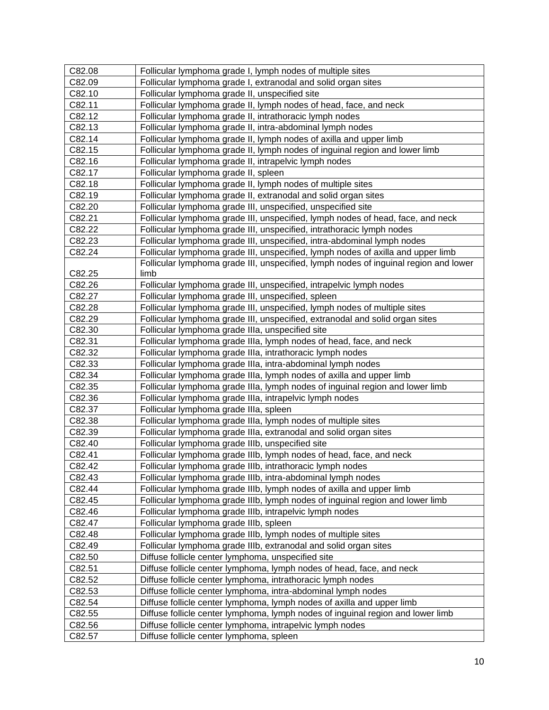| C82.08 | Follicular lymphoma grade I, lymph nodes of multiple sites                           |
|--------|--------------------------------------------------------------------------------------|
| C82.09 | Follicular lymphoma grade I, extranodal and solid organ sites                        |
| C82.10 | Follicular lymphoma grade II, unspecified site                                       |
| C82.11 | Follicular lymphoma grade II, lymph nodes of head, face, and neck                    |
| C82.12 | Follicular lymphoma grade II, intrathoracic lymph nodes                              |
| C82.13 | Follicular lymphoma grade II, intra-abdominal lymph nodes                            |
| C82.14 | Follicular lymphoma grade II, lymph nodes of axilla and upper limb                   |
| C82.15 | Follicular lymphoma grade II, lymph nodes of inguinal region and lower limb          |
| C82.16 | Follicular lymphoma grade II, intrapelvic lymph nodes                                |
| C82.17 | Follicular lymphoma grade II, spleen                                                 |
| C82.18 | Follicular lymphoma grade II, lymph nodes of multiple sites                          |
| C82.19 | Follicular lymphoma grade II, extranodal and solid organ sites                       |
| C82.20 | Follicular lymphoma grade III, unspecified, unspecified site                         |
| C82.21 | Follicular lymphoma grade III, unspecified, lymph nodes of head, face, and neck      |
| C82.22 | Follicular lymphoma grade III, unspecified, intrathoracic lymph nodes                |
| C82.23 | Follicular lymphoma grade III, unspecified, intra-abdominal lymph nodes              |
| C82.24 | Follicular lymphoma grade III, unspecified, lymph nodes of axilla and upper limb     |
|        | Follicular lymphoma grade III, unspecified, lymph nodes of inguinal region and lower |
| C82.25 | limb                                                                                 |
| C82.26 | Follicular lymphoma grade III, unspecified, intrapelvic lymph nodes                  |
| C82.27 | Follicular lymphoma grade III, unspecified, spleen                                   |
| C82.28 | Follicular lymphoma grade III, unspecified, lymph nodes of multiple sites            |
| C82.29 | Follicular lymphoma grade III, unspecified, extranodal and solid organ sites         |
| C82.30 | Follicular lymphoma grade IIIa, unspecified site                                     |
| C82.31 | Follicular lymphoma grade IIIa, lymph nodes of head, face, and neck                  |
| C82.32 | Follicular lymphoma grade IIIa, intrathoracic lymph nodes                            |
| C82.33 | Follicular lymphoma grade IIIa, intra-abdominal lymph nodes                          |
| C82.34 | Follicular lymphoma grade IIIa, lymph nodes of axilla and upper limb                 |
| C82.35 | Follicular lymphoma grade IIIa, lymph nodes of inguinal region and lower limb        |
| C82.36 | Follicular lymphoma grade IIIa, intrapelvic lymph nodes                              |
| C82.37 | Follicular lymphoma grade IIIa, spleen                                               |
| C82.38 | Follicular lymphoma grade IIIa, lymph nodes of multiple sites                        |
| C82.39 | Follicular lymphoma grade IIIa, extranodal and solid organ sites                     |
| C82.40 | Follicular lymphoma grade IIIb, unspecified site                                     |
| C82.41 | Follicular lymphoma grade IIIb, lymph nodes of head, face, and neck                  |
| C82.42 | Follicular lymphoma grade IIIb, intrathoracic lymph nodes                            |
| C82.43 | Follicular lymphoma grade IIIb, intra-abdominal lymph nodes                          |
| C82.44 | Follicular lymphoma grade IIIb, lymph nodes of axilla and upper limb                 |
| C82.45 | Follicular lymphoma grade IIIb, lymph nodes of inguinal region and lower limb        |
| C82.46 | Follicular lymphoma grade IIIb, intrapelvic lymph nodes                              |
| C82.47 | Follicular lymphoma grade IIIb, spleen                                               |
| C82.48 | Follicular lymphoma grade IIIb, lymph nodes of multiple sites                        |
| C82.49 | Follicular lymphoma grade IIIb, extranodal and solid organ sites                     |
| C82.50 | Diffuse follicle center lymphoma, unspecified site                                   |
| C82.51 | Diffuse follicle center lymphoma, lymph nodes of head, face, and neck                |
| C82.52 | Diffuse follicle center lymphoma, intrathoracic lymph nodes                          |
| C82.53 | Diffuse follicle center lymphoma, intra-abdominal lymph nodes                        |
| C82.54 | Diffuse follicle center lymphoma, lymph nodes of axilla and upper limb               |
| C82.55 | Diffuse follicle center lymphoma, lymph nodes of inguinal region and lower limb      |
| C82.56 | Diffuse follicle center lymphoma, intrapelvic lymph nodes                            |
| C82.57 | Diffuse follicle center lymphoma, spleen                                             |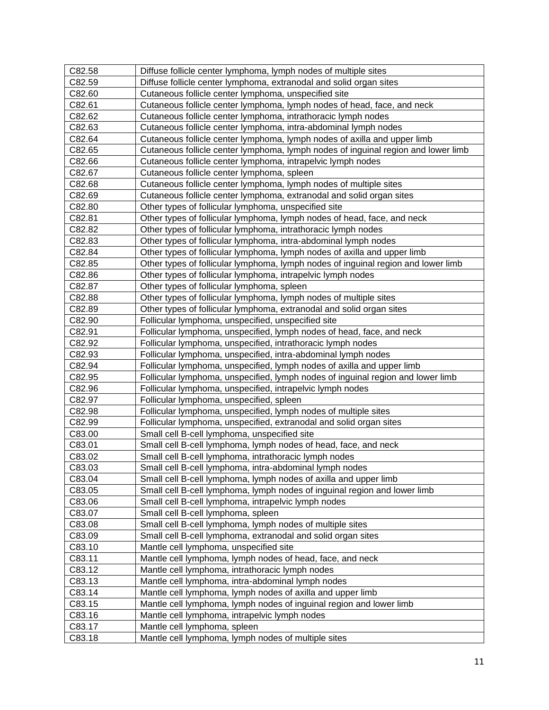| C82.58 | Diffuse follicle center lymphoma, lymph nodes of multiple sites                   |
|--------|-----------------------------------------------------------------------------------|
| C82.59 | Diffuse follicle center lymphoma, extranodal and solid organ sites                |
| C82.60 | Cutaneous follicle center lymphoma, unspecified site                              |
| C82.61 | Cutaneous follicle center lymphoma, lymph nodes of head, face, and neck           |
| C82.62 | Cutaneous follicle center lymphoma, intrathoracic lymph nodes                     |
| C82.63 | Cutaneous follicle center lymphoma, intra-abdominal lymph nodes                   |
| C82.64 | Cutaneous follicle center lymphoma, lymph nodes of axilla and upper limb          |
| C82.65 | Cutaneous follicle center lymphoma, lymph nodes of inguinal region and lower limb |
| C82.66 | Cutaneous follicle center lymphoma, intrapelvic lymph nodes                       |
| C82.67 | Cutaneous follicle center lymphoma, spleen                                        |
| C82.68 | Cutaneous follicle center lymphoma, lymph nodes of multiple sites                 |
| C82.69 | Cutaneous follicle center lymphoma, extranodal and solid organ sites              |
| C82.80 | Other types of follicular lymphoma, unspecified site                              |
| C82.81 | Other types of follicular lymphoma, lymph nodes of head, face, and neck           |
| C82.82 | Other types of follicular lymphoma, intrathoracic lymph nodes                     |
| C82.83 | Other types of follicular lymphoma, intra-abdominal lymph nodes                   |
| C82.84 | Other types of follicular lymphoma, lymph nodes of axilla and upper limb          |
| C82.85 | Other types of follicular lymphoma, lymph nodes of inguinal region and lower limb |
| C82.86 | Other types of follicular lymphoma, intrapelvic lymph nodes                       |
| C82.87 | Other types of follicular lymphoma, spleen                                        |
| C82.88 | Other types of follicular lymphoma, lymph nodes of multiple sites                 |
| C82.89 | Other types of follicular lymphoma, extranodal and solid organ sites              |
| C82.90 | Follicular lymphoma, unspecified, unspecified site                                |
| C82.91 | Follicular lymphoma, unspecified, lymph nodes of head, face, and neck             |
| C82.92 | Follicular lymphoma, unspecified, intrathoracic lymph nodes                       |
| C82.93 | Follicular lymphoma, unspecified, intra-abdominal lymph nodes                     |
| C82.94 | Follicular lymphoma, unspecified, lymph nodes of axilla and upper limb            |
| C82.95 | Follicular lymphoma, unspecified, lymph nodes of inguinal region and lower limb   |
| C82.96 | Follicular lymphoma, unspecified, intrapelvic lymph nodes                         |
| C82.97 | Follicular lymphoma, unspecified, spleen                                          |
| C82.98 | Follicular lymphoma, unspecified, lymph nodes of multiple sites                   |
| C82.99 | Follicular lymphoma, unspecified, extranodal and solid organ sites                |
| C83.00 | Small cell B-cell lymphoma, unspecified site                                      |
| C83.01 | Small cell B-cell lymphoma, lymph nodes of head, face, and neck                   |
| C83.02 | Small cell B-cell lymphoma, intrathoracic lymph nodes                             |
| C83.03 | Small cell B-cell lymphoma, intra-abdominal lymph nodes                           |
| C83.04 | Small cell B-cell lymphoma, lymph nodes of axilla and upper limb                  |
| C83.05 | Small cell B-cell lymphoma, lymph nodes of inguinal region and lower limb         |
| C83.06 | Small cell B-cell lymphoma, intrapelvic lymph nodes                               |
| C83.07 | Small cell B-cell lymphoma, spleen                                                |
| C83.08 | Small cell B-cell lymphoma, lymph nodes of multiple sites                         |
| C83.09 | Small cell B-cell lymphoma, extranodal and solid organ sites                      |
| C83.10 | Mantle cell lymphoma, unspecified site                                            |
| C83.11 | Mantle cell lymphoma, lymph nodes of head, face, and neck                         |
| C83.12 | Mantle cell lymphoma, intrathoracic lymph nodes                                   |
| C83.13 | Mantle cell lymphoma, intra-abdominal lymph nodes                                 |
| C83.14 | Mantle cell lymphoma, lymph nodes of axilla and upper limb                        |
| C83.15 | Mantle cell lymphoma, lymph nodes of inguinal region and lower limb               |
| C83.16 | Mantle cell lymphoma, intrapelvic lymph nodes                                     |
| C83.17 | Mantle cell lymphoma, spleen                                                      |
| C83.18 | Mantle cell lymphoma, lymph nodes of multiple sites                               |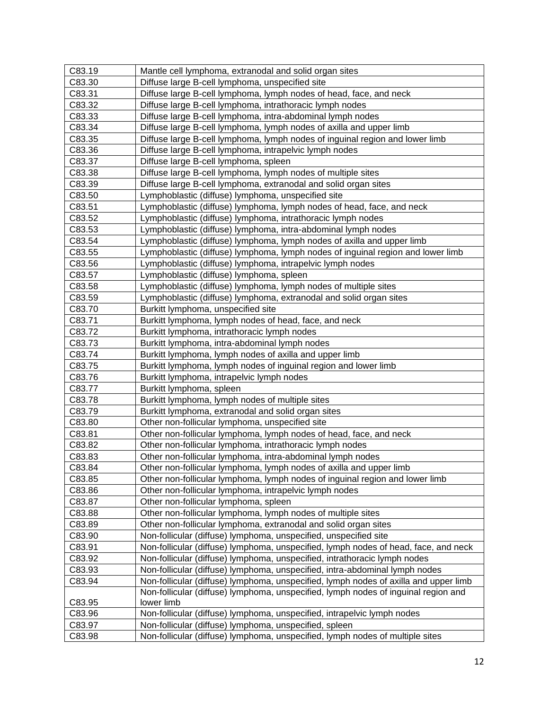| C83.19 | Mantle cell lymphoma, extranodal and solid organ sites                               |
|--------|--------------------------------------------------------------------------------------|
| C83.30 | Diffuse large B-cell lymphoma, unspecified site                                      |
| C83.31 | Diffuse large B-cell lymphoma, lymph nodes of head, face, and neck                   |
| C83.32 | Diffuse large B-cell lymphoma, intrathoracic lymph nodes                             |
| C83.33 | Diffuse large B-cell lymphoma, intra-abdominal lymph nodes                           |
| C83.34 | Diffuse large B-cell lymphoma, lymph nodes of axilla and upper limb                  |
| C83.35 | Diffuse large B-cell lymphoma, lymph nodes of inguinal region and lower limb         |
| C83.36 | Diffuse large B-cell lymphoma, intrapelvic lymph nodes                               |
| C83.37 | Diffuse large B-cell lymphoma, spleen                                                |
| C83.38 | Diffuse large B-cell lymphoma, lymph nodes of multiple sites                         |
| C83.39 | Diffuse large B-cell lymphoma, extranodal and solid organ sites                      |
| C83.50 | Lymphoblastic (diffuse) lymphoma, unspecified site                                   |
| C83.51 | Lymphoblastic (diffuse) lymphoma, lymph nodes of head, face, and neck                |
| C83.52 | Lymphoblastic (diffuse) lymphoma, intrathoracic lymph nodes                          |
| C83.53 | Lymphoblastic (diffuse) lymphoma, intra-abdominal lymph nodes                        |
| C83.54 | Lymphoblastic (diffuse) lymphoma, lymph nodes of axilla and upper limb               |
| C83.55 | Lymphoblastic (diffuse) lymphoma, lymph nodes of inguinal region and lower limb      |
| C83.56 | Lymphoblastic (diffuse) lymphoma, intrapelvic lymph nodes                            |
| C83.57 | Lymphoblastic (diffuse) lymphoma, spleen                                             |
| C83.58 | Lymphoblastic (diffuse) lymphoma, lymph nodes of multiple sites                      |
| C83.59 | Lymphoblastic (diffuse) lymphoma, extranodal and solid organ sites                   |
| C83.70 | Burkitt lymphoma, unspecified site                                                   |
| C83.71 | Burkitt lymphoma, lymph nodes of head, face, and neck                                |
| C83.72 | Burkitt lymphoma, intrathoracic lymph nodes                                          |
| C83.73 | Burkitt lymphoma, intra-abdominal lymph nodes                                        |
| C83.74 | Burkitt lymphoma, lymph nodes of axilla and upper limb                               |
| C83.75 | Burkitt lymphoma, lymph nodes of inguinal region and lower limb                      |
| C83.76 | Burkitt lymphoma, intrapelvic lymph nodes                                            |
| C83.77 | Burkitt lymphoma, spleen                                                             |
| C83.78 | Burkitt lymphoma, lymph nodes of multiple sites                                      |
| C83.79 | Burkitt lymphoma, extranodal and solid organ sites                                   |
| C83.80 | Other non-follicular lymphoma, unspecified site                                      |
| C83.81 | Other non-follicular lymphoma, lymph nodes of head, face, and neck                   |
| C83.82 | Other non-follicular lymphoma, intrathoracic lymph nodes                             |
| C83.83 | Other non-follicular lymphoma, intra-abdominal lymph nodes                           |
| C83.84 | Other non-follicular lymphoma, lymph nodes of axilla and upper limb                  |
| C83.85 | Other non-follicular lymphoma, lymph nodes of inguinal region and lower limb         |
| C83.86 | Other non-follicular lymphoma, intrapelvic lymph nodes                               |
| C83.87 | Other non-follicular lymphoma, spleen                                                |
| C83.88 | Other non-follicular lymphoma, lymph nodes of multiple sites                         |
| C83.89 | Other non-follicular lymphoma, extranodal and solid organ sites                      |
| C83.90 | Non-follicular (diffuse) lymphoma, unspecified, unspecified site                     |
| C83.91 | Non-follicular (diffuse) lymphoma, unspecified, lymph nodes of head, face, and neck  |
| C83.92 | Non-follicular (diffuse) lymphoma, unspecified, intrathoracic lymph nodes            |
| C83.93 | Non-follicular (diffuse) lymphoma, unspecified, intra-abdominal lymph nodes          |
| C83.94 | Non-follicular (diffuse) lymphoma, unspecified, lymph nodes of axilla and upper limb |
|        | Non-follicular (diffuse) lymphoma, unspecified, lymph nodes of inguinal region and   |
| C83.95 | lower limb                                                                           |
| C83.96 | Non-follicular (diffuse) lymphoma, unspecified, intrapelvic lymph nodes              |
| C83.97 | Non-follicular (diffuse) lymphoma, unspecified, spleen                               |
| C83.98 | Non-follicular (diffuse) lymphoma, unspecified, lymph nodes of multiple sites        |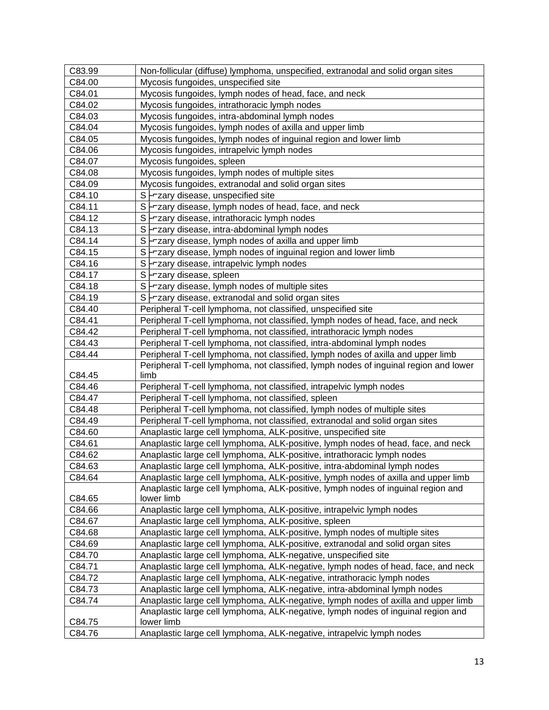| C83.99 | Non-follicular (diffuse) lymphoma, unspecified, extranodal and solid organ sites               |
|--------|------------------------------------------------------------------------------------------------|
| C84.00 | Mycosis fungoides, unspecified site                                                            |
| C84.01 | Mycosis fungoides, lymph nodes of head, face, and neck                                         |
| C84.02 | Mycosis fungoides, intrathoracic lymph nodes                                                   |
| C84.03 | Mycosis fungoides, intra-abdominal lymph nodes                                                 |
| C84.04 | Mycosis fungoides, lymph nodes of axilla and upper limb                                        |
| C84.05 | Mycosis fungoides, lymph nodes of inguinal region and lower limb                               |
| C84.06 | Mycosis fungoides, intrapelvic lymph nodes                                                     |
| C84.07 | Mycosis fungoides, spleen                                                                      |
| C84.08 | Mycosis fungoides, lymph nodes of multiple sites                                               |
| C84.09 | Mycosis fungoides, extranodal and solid organ sites                                            |
| C84.10 | S- $\vdash$ zary disease, unspecified site                                                     |
| C84.11 | S F-zary disease, lymph nodes of head, face, and neck                                          |
| C84.12 | S- $\vdash$ zary disease, intrathoracic lymph nodes                                            |
| C84.13 | S- $\vdash$ zary disease, intra-abdominal lymph nodes                                          |
| C84.14 | $S$ - $\overline{S}$ - $\overline{S}$ zary disease, lymph nodes of axilla and upper limb       |
| C84.15 | $S$ $\vdash$ zary disease, lymph nodes of inguinal region and lower limb                       |
| C84.16 | S- $\vdash$ zary disease, intrapelvic lymph nodes                                              |
| C84.17 | S-rzary disease, spleen                                                                        |
| C84.18 | $S$ -zary disease, lymph nodes of multiple sites                                               |
| C84.19 | S- $\sim$ zary disease, extranodal and solid organ sites                                       |
| C84.40 | Peripheral T-cell lymphoma, not classified, unspecified site                                   |
| C84.41 | Peripheral T-cell lymphoma, not classified, lymph nodes of head, face, and neck                |
| C84.42 | Peripheral T-cell lymphoma, not classified, intrathoracic lymph nodes                          |
| C84.43 | Peripheral T-cell lymphoma, not classified, intra-abdominal lymph nodes                        |
| C84.44 | Peripheral T-cell lymphoma, not classified, lymph nodes of axilla and upper limb               |
|        | Peripheral T-cell lymphoma, not classified, lymph nodes of inguinal region and lower           |
| C84.45 | limb                                                                                           |
| C84.46 | Peripheral T-cell lymphoma, not classified, intrapelvic lymph nodes                            |
| C84.47 | Peripheral T-cell lymphoma, not classified, spleen                                             |
| C84.48 | Peripheral T-cell lymphoma, not classified, lymph nodes of multiple sites                      |
| C84.49 | Peripheral T-cell lymphoma, not classified, extranodal and solid organ sites                   |
| C84.60 | Anaplastic large cell lymphoma, ALK-positive, unspecified site                                 |
| C84.61 | Anaplastic large cell lymphoma, ALK-positive, lymph nodes of head, face, and neck              |
| C84.62 | Anaplastic large cell lymphoma, ALK-positive, intrathoracic lymph nodes                        |
| C84.63 | Anaplastic large cell lymphoma, ALK-positive, intra-abdominal lymph nodes                      |
| C84.64 | Anaplastic large cell lymphoma, ALK-positive, lymph nodes of axilla and upper limb             |
|        | Anaplastic large cell lymphoma, ALK-positive, lymph nodes of inguinal region and               |
| C84.65 | lower limb                                                                                     |
| C84.66 | Anaplastic large cell lymphoma, ALK-positive, intrapelvic lymph nodes                          |
| C84.67 | Anaplastic large cell lymphoma, ALK-positive, spleen                                           |
| C84.68 | Anaplastic large cell lymphoma, ALK-positive, lymph nodes of multiple sites                    |
| C84.69 | Anaplastic large cell lymphoma, ALK-positive, extranodal and solid organ sites                 |
| C84.70 | Anaplastic large cell lymphoma, ALK-negative, unspecified site                                 |
| C84.71 | Anaplastic large cell lymphoma, ALK-negative, lymph nodes of head, face, and neck              |
| C84.72 | Anaplastic large cell lymphoma, ALK-negative, intrathoracic lymph nodes                        |
| C84.73 | Anaplastic large cell lymphoma, ALK-negative, intra-abdominal lymph nodes                      |
| C84.74 | Anaplastic large cell lymphoma, ALK-negative, lymph nodes of axilla and upper limb             |
| C84.75 | Anaplastic large cell lymphoma, ALK-negative, lymph nodes of inguinal region and<br>lower limb |
| C84.76 | Anaplastic large cell lymphoma, ALK-negative, intrapelvic lymph nodes                          |
|        |                                                                                                |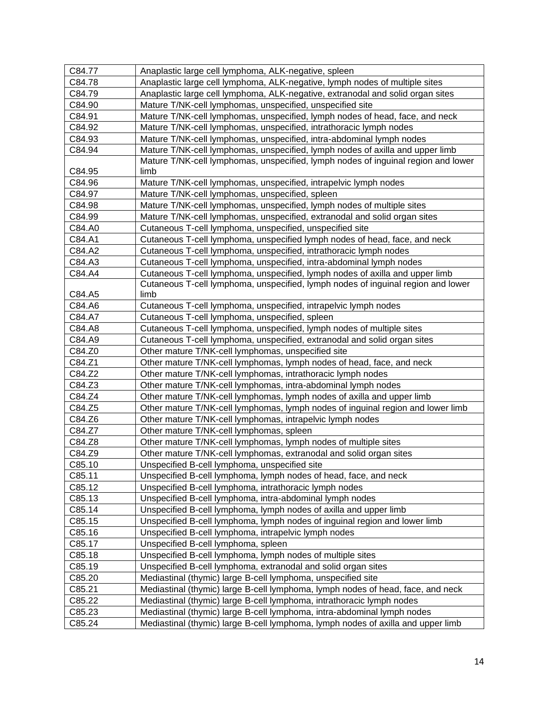| C84.77 | Anaplastic large cell lymphoma, ALK-negative, spleen                                      |
|--------|-------------------------------------------------------------------------------------------|
| C84.78 | Anaplastic large cell lymphoma, ALK-negative, lymph nodes of multiple sites               |
| C84.79 | Anaplastic large cell lymphoma, ALK-negative, extranodal and solid organ sites            |
| C84.90 | Mature T/NK-cell lymphomas, unspecified, unspecified site                                 |
| C84.91 | Mature T/NK-cell lymphomas, unspecified, lymph nodes of head, face, and neck              |
| C84.92 | Mature T/NK-cell lymphomas, unspecified, intrathoracic lymph nodes                        |
| C84.93 | Mature T/NK-cell lymphomas, unspecified, intra-abdominal lymph nodes                      |
| C84.94 | Mature T/NK-cell lymphomas, unspecified, lymph nodes of axilla and upper limb             |
| C84.95 | Mature T/NK-cell lymphomas, unspecified, lymph nodes of inguinal region and lower<br>limb |
| C84.96 | Mature T/NK-cell lymphomas, unspecified, intrapelvic lymph nodes                          |
| C84.97 | Mature T/NK-cell lymphomas, unspecified, spleen                                           |
| C84.98 | Mature T/NK-cell lymphomas, unspecified, lymph nodes of multiple sites                    |
| C84.99 | Mature T/NK-cell lymphomas, unspecified, extranodal and solid organ sites                 |
| C84.A0 | Cutaneous T-cell lymphoma, unspecified, unspecified site                                  |
| C84.A1 | Cutaneous T-cell lymphoma, unspecified lymph nodes of head, face, and neck                |
| C84.A2 | Cutaneous T-cell lymphoma, unspecified, intrathoracic lymph nodes                         |
| C84.A3 | Cutaneous T-cell lymphoma, unspecified, intra-abdominal lymph nodes                       |
| C84.A4 | Cutaneous T-cell lymphoma, unspecified, lymph nodes of axilla and upper limb              |
|        | Cutaneous T-cell lymphoma, unspecified, lymph nodes of inguinal region and lower          |
| C84.A5 | limb                                                                                      |
| C84.A6 | Cutaneous T-cell lymphoma, unspecified, intrapelvic lymph nodes                           |
| C84.A7 | Cutaneous T-cell lymphoma, unspecified, spleen                                            |
| C84.A8 | Cutaneous T-cell lymphoma, unspecified, lymph nodes of multiple sites                     |
| C84.A9 | Cutaneous T-cell lymphoma, unspecified, extranodal and solid organ sites                  |
| C84.Z0 | Other mature T/NK-cell lymphomas, unspecified site                                        |
| C84.Z1 | Other mature T/NK-cell lymphomas, lymph nodes of head, face, and neck                     |
| C84.Z2 | Other mature T/NK-cell lymphomas, intrathoracic lymph nodes                               |
| C84.Z3 | Other mature T/NK-cell lymphomas, intra-abdominal lymph nodes                             |
| C84.Z4 | Other mature T/NK-cell lymphomas, lymph nodes of axilla and upper limb                    |
| C84.Z5 | Other mature T/NK-cell lymphomas, lymph nodes of inguinal region and lower limb           |
| C84.Z6 | Other mature T/NK-cell lymphomas, intrapelvic lymph nodes                                 |
| C84.Z7 | Other mature T/NK-cell lymphomas, spleen                                                  |
| C84.Z8 | Other mature T/NK-cell lymphomas, lymph nodes of multiple sites                           |
| C84.Z9 | Other mature T/NK-cell lymphomas, extranodal and solid organ sites                        |
| C85.10 | Unspecified B-cell lymphoma, unspecified site                                             |
| C85.11 | Unspecified B-cell lymphoma, lymph nodes of head, face, and neck                          |
| C85.12 | Unspecified B-cell lymphoma, intrathoracic lymph nodes                                    |
| C85.13 | Unspecified B-cell lymphoma, intra-abdominal lymph nodes                                  |
| C85.14 | Unspecified B-cell lymphoma, lymph nodes of axilla and upper limb                         |
| C85.15 | Unspecified B-cell lymphoma, lymph nodes of inguinal region and lower limb                |
| C85.16 | Unspecified B-cell lymphoma, intrapelvic lymph nodes                                      |
| C85.17 | Unspecified B-cell lymphoma, spleen                                                       |
| C85.18 | Unspecified B-cell lymphoma, lymph nodes of multiple sites                                |
| C85.19 | Unspecified B-cell lymphoma, extranodal and solid organ sites                             |
| C85.20 | Mediastinal (thymic) large B-cell lymphoma, unspecified site                              |
| C85.21 | Mediastinal (thymic) large B-cell lymphoma, lymph nodes of head, face, and neck           |
| C85.22 | Mediastinal (thymic) large B-cell lymphoma, intrathoracic lymph nodes                     |
| C85.23 | Mediastinal (thymic) large B-cell lymphoma, intra-abdominal lymph nodes                   |
| C85.24 | Mediastinal (thymic) large B-cell lymphoma, lymph nodes of axilla and upper limb          |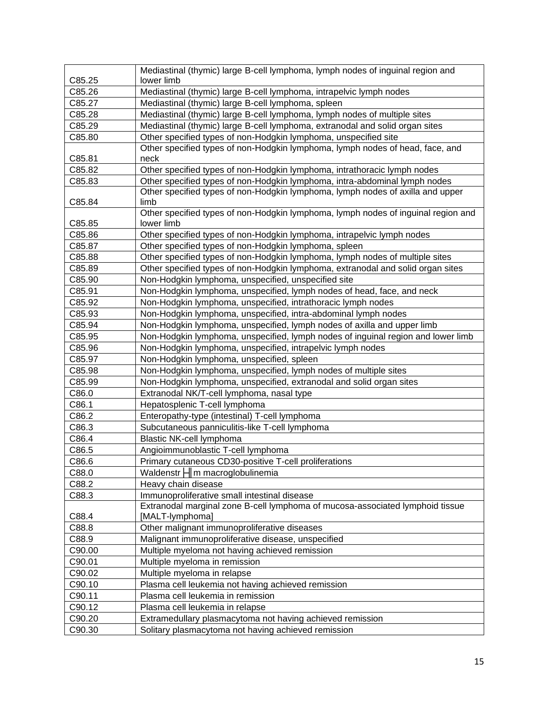|        | Mediastinal (thymic) large B-cell lymphoma, lymph nodes of inguinal region and    |
|--------|-----------------------------------------------------------------------------------|
| C85.25 | lower limb                                                                        |
| C85.26 | Mediastinal (thymic) large B-cell lymphoma, intrapelvic lymph nodes               |
| C85.27 | Mediastinal (thymic) large B-cell lymphoma, spleen                                |
| C85.28 | Mediastinal (thymic) large B-cell lymphoma, lymph nodes of multiple sites         |
| C85.29 | Mediastinal (thymic) large B-cell lymphoma, extranodal and solid organ sites      |
| C85.80 | Other specified types of non-Hodgkin lymphoma, unspecified site                   |
|        | Other specified types of non-Hodgkin lymphoma, lymph nodes of head, face, and     |
| C85.81 | neck                                                                              |
| C85.82 | Other specified types of non-Hodgkin lymphoma, intrathoracic lymph nodes          |
| C85.83 | Other specified types of non-Hodgkin lymphoma, intra-abdominal lymph nodes        |
|        | Other specified types of non-Hodgkin lymphoma, lymph nodes of axilla and upper    |
| C85.84 | limb                                                                              |
|        | Other specified types of non-Hodgkin lymphoma, lymph nodes of inguinal region and |
| C85.85 | lower limb                                                                        |
| C85.86 | Other specified types of non-Hodgkin lymphoma, intrapelvic lymph nodes            |
| C85.87 | Other specified types of non-Hodgkin lymphoma, spleen                             |
| C85.88 | Other specified types of non-Hodgkin lymphoma, lymph nodes of multiple sites      |
| C85.89 | Other specified types of non-Hodgkin lymphoma, extranodal and solid organ sites   |
| C85.90 | Non-Hodgkin lymphoma, unspecified, unspecified site                               |
| C85.91 | Non-Hodgkin lymphoma, unspecified, lymph nodes of head, face, and neck            |
| C85.92 | Non-Hodgkin lymphoma, unspecified, intrathoracic lymph nodes                      |
| C85.93 | Non-Hodgkin lymphoma, unspecified, intra-abdominal lymph nodes                    |
| C85.94 | Non-Hodgkin lymphoma, unspecified, lymph nodes of axilla and upper limb           |
| C85.95 | Non-Hodgkin lymphoma, unspecified, lymph nodes of inguinal region and lower limb  |
| C85.96 | Non-Hodgkin lymphoma, unspecified, intrapelvic lymph nodes                        |
| C85.97 | Non-Hodgkin lymphoma, unspecified, spleen                                         |
| C85.98 | Non-Hodgkin lymphoma, unspecified, lymph nodes of multiple sites                  |
| C85.99 | Non-Hodgkin lymphoma, unspecified, extranodal and solid organ sites               |
| C86.0  | Extranodal NK/T-cell lymphoma, nasal type                                         |
| C86.1  | Hepatosplenic T-cell lymphoma                                                     |
| C86.2  | Enteropathy-type (intestinal) T-cell lymphoma                                     |
| C86.3  | Subcutaneous panniculitis-like T-cell lymphoma                                    |
| C86.4  | Blastic NK-cell lymphoma                                                          |
| C86.5  | Angioimmunoblastic T-cell lymphoma                                                |
| C86.6  | Primary cutaneous CD30-positive T-cell proliferations                             |
| C88.0  | Waldenstr H m macroglobulinemia                                                   |
| C88.2  | Heavy chain disease                                                               |
| C88.3  | Immunoproliferative small intestinal disease                                      |
|        | Extranodal marginal zone B-cell lymphoma of mucosa-associated lymphoid tissue     |
| C88.4  | [MALT-lymphoma]                                                                   |
| C88.8  | Other malignant immunoproliferative diseases                                      |
| C88.9  | Malignant immunoproliferative disease, unspecified                                |
| C90.00 | Multiple myeloma not having achieved remission                                    |
| C90.01 | Multiple myeloma in remission                                                     |
| C90.02 | Multiple myeloma in relapse                                                       |
| C90.10 | Plasma cell leukemia not having achieved remission                                |
| C90.11 | Plasma cell leukemia in remission                                                 |
| C90.12 | Plasma cell leukemia in relapse                                                   |
| C90.20 | Extramedullary plasmacytoma not having achieved remission                         |
| C90.30 | Solitary plasmacytoma not having achieved remission                               |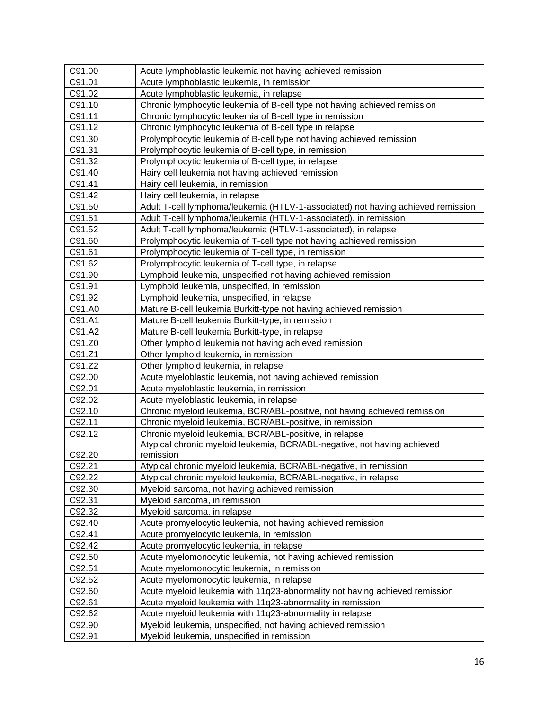| C91.00 | Acute lymphoblastic leukemia not having achieved remission                       |
|--------|----------------------------------------------------------------------------------|
| C91.01 | Acute lymphoblastic leukemia, in remission                                       |
| C91.02 | Acute lymphoblastic leukemia, in relapse                                         |
| C91.10 | Chronic lymphocytic leukemia of B-cell type not having achieved remission        |
| C91.11 | Chronic lymphocytic leukemia of B-cell type in remission                         |
| C91.12 | Chronic lymphocytic leukemia of B-cell type in relapse                           |
| C91.30 | Prolymphocytic leukemia of B-cell type not having achieved remission             |
| C91.31 | Prolymphocytic leukemia of B-cell type, in remission                             |
| C91.32 | Prolymphocytic leukemia of B-cell type, in relapse                               |
| C91.40 | Hairy cell leukemia not having achieved remission                                |
| C91.41 | Hairy cell leukemia, in remission                                                |
| C91.42 | Hairy cell leukemia, in relapse                                                  |
| C91.50 | Adult T-cell lymphoma/leukemia (HTLV-1-associated) not having achieved remission |
| C91.51 | Adult T-cell lymphoma/leukemia (HTLV-1-associated), in remission                 |
| C91.52 | Adult T-cell lymphoma/leukemia (HTLV-1-associated), in relapse                   |
| C91.60 | Prolymphocytic leukemia of T-cell type not having achieved remission             |
| C91.61 | Prolymphocytic leukemia of T-cell type, in remission                             |
| C91.62 | Prolymphocytic leukemia of T-cell type, in relapse                               |
| C91.90 | Lymphoid leukemia, unspecified not having achieved remission                     |
| C91.91 | Lymphoid leukemia, unspecified, in remission                                     |
| C91.92 | Lymphoid leukemia, unspecified, in relapse                                       |
| C91.A0 | Mature B-cell leukemia Burkitt-type not having achieved remission                |
| C91.A1 | Mature B-cell leukemia Burkitt-type, in remission                                |
| C91.A2 | Mature B-cell leukemia Burkitt-type, in relapse                                  |
| C91.Z0 | Other lymphoid leukemia not having achieved remission                            |
| C91.Z1 | Other lymphoid leukemia, in remission                                            |
| C91.Z2 | Other lymphoid leukemia, in relapse                                              |
| C92.00 | Acute myeloblastic leukemia, not having achieved remission                       |
| C92.01 | Acute myeloblastic leukemia, in remission                                        |
| C92.02 | Acute myeloblastic leukemia, in relapse                                          |
| C92.10 | Chronic myeloid leukemia, BCR/ABL-positive, not having achieved remission        |
| C92.11 | Chronic myeloid leukemia, BCR/ABL-positive, in remission                         |
| C92.12 | Chronic myeloid leukemia, BCR/ABL-positive, in relapse                           |
|        | Atypical chronic myeloid leukemia, BCR/ABL-negative, not having achieved         |
| C92.20 | remission                                                                        |
| C92.21 | Atypical chronic myeloid leukemia, BCR/ABL-negative, in remission                |
| C92.22 | Atypical chronic myeloid leukemia, BCR/ABL-negative, in relapse                  |
| C92.30 | Myeloid sarcoma, not having achieved remission                                   |
| C92.31 | Myeloid sarcoma, in remission                                                    |
| C92.32 | Myeloid sarcoma, in relapse                                                      |
| C92.40 | Acute promyelocytic leukemia, not having achieved remission                      |
| C92.41 | Acute promyelocytic leukemia, in remission                                       |
| C92.42 | Acute promyelocytic leukemia, in relapse                                         |
| C92.50 | Acute myelomonocytic leukemia, not having achieved remission                     |
| C92.51 | Acute myelomonocytic leukemia, in remission                                      |
| C92.52 | Acute myelomonocytic leukemia, in relapse                                        |
| C92.60 | Acute myeloid leukemia with 11q23-abnormality not having achieved remission      |
| C92.61 | Acute myeloid leukemia with 11q23-abnormality in remission                       |
| C92.62 | Acute myeloid leukemia with 11q23-abnormality in relapse                         |
| C92.90 | Myeloid leukemia, unspecified, not having achieved remission                     |
| C92.91 | Myeloid leukemia, unspecified in remission                                       |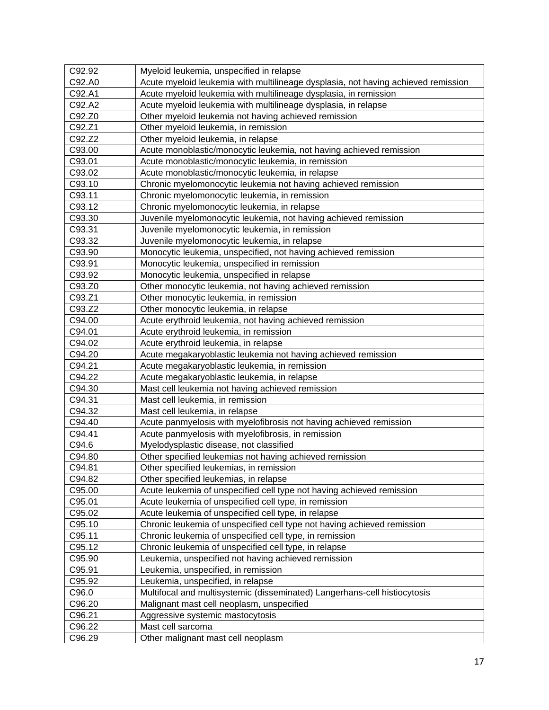| C92.A0<br>Acute myeloid leukemia with multilineage dysplasia, not having achieved remission<br>C92.A1<br>Acute myeloid leukemia with multilineage dysplasia, in remission<br>C92.A2<br>Acute myeloid leukemia with multilineage dysplasia, in relapse<br>C92.Z0<br>Other myeloid leukemia not having achieved remission<br>C92.Z1<br>Other myeloid leukemia, in remission<br>C92.Z2<br>Other myeloid leukemia, in relapse<br>C93.00<br>Acute monoblastic/monocytic leukemia, not having achieved remission<br>C93.01<br>Acute monoblastic/monocytic leukemia, in remission<br>C93.02<br>Acute monoblastic/monocytic leukemia, in relapse<br>C93.10<br>Chronic myelomonocytic leukemia not having achieved remission<br>Chronic myelomonocytic leukemia, in remission<br>C93.11<br>C93.12<br>Chronic myelomonocytic leukemia, in relapse<br>C93.30<br>Juvenile myelomonocytic leukemia, not having achieved remission<br>C93.31<br>Juvenile myelomonocytic leukemia, in remission<br>C93.32<br>Juvenile myelomonocytic leukemia, in relapse<br>C93.90<br>Monocytic leukemia, unspecified, not having achieved remission<br>C93.91<br>Monocytic leukemia, unspecified in remission<br>C93.92<br>Monocytic leukemia, unspecified in relapse<br>C93.Z0<br>Other monocytic leukemia, not having achieved remission<br>C93.Z1<br>Other monocytic leukemia, in remission<br>C93.Z2<br>Other monocytic leukemia, in relapse<br>Acute erythroid leukemia, not having achieved remission<br>C94.00<br>C94.01<br>Acute erythroid leukemia, in remission<br>C94.02<br>Acute erythroid leukemia, in relapse<br>C94.20<br>Acute megakaryoblastic leukemia not having achieved remission<br>C94.21<br>Acute megakaryoblastic leukemia, in remission<br>C94.22<br>Acute megakaryoblastic leukemia, in relapse<br>C94.30<br>Mast cell leukemia not having achieved remission<br>C94.31<br>Mast cell leukemia, in remission<br>C94.32<br>Mast cell leukemia, in relapse<br>C94.40<br>Acute panmyelosis with myelofibrosis not having achieved remission<br>C94.41<br>Acute panmyelosis with myelofibrosis, in remission<br>C94.6<br>Myelodysplastic disease, not classified<br>C94.80<br>Other specified leukemias not having achieved remission<br>C94.81<br>Other specified leukemias, in remission<br>C94.82<br>Other specified leukemias, in relapse<br>Acute leukemia of unspecified cell type not having achieved remission<br>C95.00<br>Acute leukemia of unspecified cell type, in remission<br>C95.01<br>C95.02<br>Acute leukemia of unspecified cell type, in relapse<br>C95.10<br>Chronic leukemia of unspecified cell type not having achieved remission<br>C95.11<br>Chronic leukemia of unspecified cell type, in remission<br>C95.12<br>Chronic leukemia of unspecified cell type, in relapse<br>Leukemia, unspecified not having achieved remission<br>C95.90<br>C95.91<br>Leukemia, unspecified, in remission<br>C95.92<br>Leukemia, unspecified, in relapse<br>Multifocal and multisystemic (disseminated) Langerhans-cell histiocytosis<br>C96.0<br>C96.20<br>Malignant mast cell neoplasm, unspecified<br>C96.21<br>Aggressive systemic mastocytosis<br>C96.22<br>Mast cell sarcoma | C92.92 | Myeloid leukemia, unspecified in relapse |
|---------------------------------------------------------------------------------------------------------------------------------------------------------------------------------------------------------------------------------------------------------------------------------------------------------------------------------------------------------------------------------------------------------------------------------------------------------------------------------------------------------------------------------------------------------------------------------------------------------------------------------------------------------------------------------------------------------------------------------------------------------------------------------------------------------------------------------------------------------------------------------------------------------------------------------------------------------------------------------------------------------------------------------------------------------------------------------------------------------------------------------------------------------------------------------------------------------------------------------------------------------------------------------------------------------------------------------------------------------------------------------------------------------------------------------------------------------------------------------------------------------------------------------------------------------------------------------------------------------------------------------------------------------------------------------------------------------------------------------------------------------------------------------------------------------------------------------------------------------------------------------------------------------------------------------------------------------------------------------------------------------------------------------------------------------------------------------------------------------------------------------------------------------------------------------------------------------------------------------------------------------------------------------------------------------------------------------------------------------------------------------------------------------------------------------------------------------------------------------------------------------------------------------------------------------------------------------------------------------------------------------------------------------------------------------------------------------------------------------------------------------------------------------------------------------------------------------------------------------------------------------------------------------------------------------------------------------------------------------------------------------------------------------------------------------------------------------------------------------------------------------------------------------------------------------------|--------|------------------------------------------|
|                                                                                                                                                                                                                                                                                                                                                                                                                                                                                                                                                                                                                                                                                                                                                                                                                                                                                                                                                                                                                                                                                                                                                                                                                                                                                                                                                                                                                                                                                                                                                                                                                                                                                                                                                                                                                                                                                                                                                                                                                                                                                                                                                                                                                                                                                                                                                                                                                                                                                                                                                                                                                                                                                                                                                                                                                                                                                                                                                                                                                                                                                                                                                                                       |        |                                          |
|                                                                                                                                                                                                                                                                                                                                                                                                                                                                                                                                                                                                                                                                                                                                                                                                                                                                                                                                                                                                                                                                                                                                                                                                                                                                                                                                                                                                                                                                                                                                                                                                                                                                                                                                                                                                                                                                                                                                                                                                                                                                                                                                                                                                                                                                                                                                                                                                                                                                                                                                                                                                                                                                                                                                                                                                                                                                                                                                                                                                                                                                                                                                                                                       |        |                                          |
|                                                                                                                                                                                                                                                                                                                                                                                                                                                                                                                                                                                                                                                                                                                                                                                                                                                                                                                                                                                                                                                                                                                                                                                                                                                                                                                                                                                                                                                                                                                                                                                                                                                                                                                                                                                                                                                                                                                                                                                                                                                                                                                                                                                                                                                                                                                                                                                                                                                                                                                                                                                                                                                                                                                                                                                                                                                                                                                                                                                                                                                                                                                                                                                       |        |                                          |
|                                                                                                                                                                                                                                                                                                                                                                                                                                                                                                                                                                                                                                                                                                                                                                                                                                                                                                                                                                                                                                                                                                                                                                                                                                                                                                                                                                                                                                                                                                                                                                                                                                                                                                                                                                                                                                                                                                                                                                                                                                                                                                                                                                                                                                                                                                                                                                                                                                                                                                                                                                                                                                                                                                                                                                                                                                                                                                                                                                                                                                                                                                                                                                                       |        |                                          |
|                                                                                                                                                                                                                                                                                                                                                                                                                                                                                                                                                                                                                                                                                                                                                                                                                                                                                                                                                                                                                                                                                                                                                                                                                                                                                                                                                                                                                                                                                                                                                                                                                                                                                                                                                                                                                                                                                                                                                                                                                                                                                                                                                                                                                                                                                                                                                                                                                                                                                                                                                                                                                                                                                                                                                                                                                                                                                                                                                                                                                                                                                                                                                                                       |        |                                          |
|                                                                                                                                                                                                                                                                                                                                                                                                                                                                                                                                                                                                                                                                                                                                                                                                                                                                                                                                                                                                                                                                                                                                                                                                                                                                                                                                                                                                                                                                                                                                                                                                                                                                                                                                                                                                                                                                                                                                                                                                                                                                                                                                                                                                                                                                                                                                                                                                                                                                                                                                                                                                                                                                                                                                                                                                                                                                                                                                                                                                                                                                                                                                                                                       |        |                                          |
|                                                                                                                                                                                                                                                                                                                                                                                                                                                                                                                                                                                                                                                                                                                                                                                                                                                                                                                                                                                                                                                                                                                                                                                                                                                                                                                                                                                                                                                                                                                                                                                                                                                                                                                                                                                                                                                                                                                                                                                                                                                                                                                                                                                                                                                                                                                                                                                                                                                                                                                                                                                                                                                                                                                                                                                                                                                                                                                                                                                                                                                                                                                                                                                       |        |                                          |
|                                                                                                                                                                                                                                                                                                                                                                                                                                                                                                                                                                                                                                                                                                                                                                                                                                                                                                                                                                                                                                                                                                                                                                                                                                                                                                                                                                                                                                                                                                                                                                                                                                                                                                                                                                                                                                                                                                                                                                                                                                                                                                                                                                                                                                                                                                                                                                                                                                                                                                                                                                                                                                                                                                                                                                                                                                                                                                                                                                                                                                                                                                                                                                                       |        |                                          |
|                                                                                                                                                                                                                                                                                                                                                                                                                                                                                                                                                                                                                                                                                                                                                                                                                                                                                                                                                                                                                                                                                                                                                                                                                                                                                                                                                                                                                                                                                                                                                                                                                                                                                                                                                                                                                                                                                                                                                                                                                                                                                                                                                                                                                                                                                                                                                                                                                                                                                                                                                                                                                                                                                                                                                                                                                                                                                                                                                                                                                                                                                                                                                                                       |        |                                          |
|                                                                                                                                                                                                                                                                                                                                                                                                                                                                                                                                                                                                                                                                                                                                                                                                                                                                                                                                                                                                                                                                                                                                                                                                                                                                                                                                                                                                                                                                                                                                                                                                                                                                                                                                                                                                                                                                                                                                                                                                                                                                                                                                                                                                                                                                                                                                                                                                                                                                                                                                                                                                                                                                                                                                                                                                                                                                                                                                                                                                                                                                                                                                                                                       |        |                                          |
|                                                                                                                                                                                                                                                                                                                                                                                                                                                                                                                                                                                                                                                                                                                                                                                                                                                                                                                                                                                                                                                                                                                                                                                                                                                                                                                                                                                                                                                                                                                                                                                                                                                                                                                                                                                                                                                                                                                                                                                                                                                                                                                                                                                                                                                                                                                                                                                                                                                                                                                                                                                                                                                                                                                                                                                                                                                                                                                                                                                                                                                                                                                                                                                       |        |                                          |
|                                                                                                                                                                                                                                                                                                                                                                                                                                                                                                                                                                                                                                                                                                                                                                                                                                                                                                                                                                                                                                                                                                                                                                                                                                                                                                                                                                                                                                                                                                                                                                                                                                                                                                                                                                                                                                                                                                                                                                                                                                                                                                                                                                                                                                                                                                                                                                                                                                                                                                                                                                                                                                                                                                                                                                                                                                                                                                                                                                                                                                                                                                                                                                                       |        |                                          |
|                                                                                                                                                                                                                                                                                                                                                                                                                                                                                                                                                                                                                                                                                                                                                                                                                                                                                                                                                                                                                                                                                                                                                                                                                                                                                                                                                                                                                                                                                                                                                                                                                                                                                                                                                                                                                                                                                                                                                                                                                                                                                                                                                                                                                                                                                                                                                                                                                                                                                                                                                                                                                                                                                                                                                                                                                                                                                                                                                                                                                                                                                                                                                                                       |        |                                          |
|                                                                                                                                                                                                                                                                                                                                                                                                                                                                                                                                                                                                                                                                                                                                                                                                                                                                                                                                                                                                                                                                                                                                                                                                                                                                                                                                                                                                                                                                                                                                                                                                                                                                                                                                                                                                                                                                                                                                                                                                                                                                                                                                                                                                                                                                                                                                                                                                                                                                                                                                                                                                                                                                                                                                                                                                                                                                                                                                                                                                                                                                                                                                                                                       |        |                                          |
|                                                                                                                                                                                                                                                                                                                                                                                                                                                                                                                                                                                                                                                                                                                                                                                                                                                                                                                                                                                                                                                                                                                                                                                                                                                                                                                                                                                                                                                                                                                                                                                                                                                                                                                                                                                                                                                                                                                                                                                                                                                                                                                                                                                                                                                                                                                                                                                                                                                                                                                                                                                                                                                                                                                                                                                                                                                                                                                                                                                                                                                                                                                                                                                       |        |                                          |
|                                                                                                                                                                                                                                                                                                                                                                                                                                                                                                                                                                                                                                                                                                                                                                                                                                                                                                                                                                                                                                                                                                                                                                                                                                                                                                                                                                                                                                                                                                                                                                                                                                                                                                                                                                                                                                                                                                                                                                                                                                                                                                                                                                                                                                                                                                                                                                                                                                                                                                                                                                                                                                                                                                                                                                                                                                                                                                                                                                                                                                                                                                                                                                                       |        |                                          |
|                                                                                                                                                                                                                                                                                                                                                                                                                                                                                                                                                                                                                                                                                                                                                                                                                                                                                                                                                                                                                                                                                                                                                                                                                                                                                                                                                                                                                                                                                                                                                                                                                                                                                                                                                                                                                                                                                                                                                                                                                                                                                                                                                                                                                                                                                                                                                                                                                                                                                                                                                                                                                                                                                                                                                                                                                                                                                                                                                                                                                                                                                                                                                                                       |        |                                          |
|                                                                                                                                                                                                                                                                                                                                                                                                                                                                                                                                                                                                                                                                                                                                                                                                                                                                                                                                                                                                                                                                                                                                                                                                                                                                                                                                                                                                                                                                                                                                                                                                                                                                                                                                                                                                                                                                                                                                                                                                                                                                                                                                                                                                                                                                                                                                                                                                                                                                                                                                                                                                                                                                                                                                                                                                                                                                                                                                                                                                                                                                                                                                                                                       |        |                                          |
|                                                                                                                                                                                                                                                                                                                                                                                                                                                                                                                                                                                                                                                                                                                                                                                                                                                                                                                                                                                                                                                                                                                                                                                                                                                                                                                                                                                                                                                                                                                                                                                                                                                                                                                                                                                                                                                                                                                                                                                                                                                                                                                                                                                                                                                                                                                                                                                                                                                                                                                                                                                                                                                                                                                                                                                                                                                                                                                                                                                                                                                                                                                                                                                       |        |                                          |
|                                                                                                                                                                                                                                                                                                                                                                                                                                                                                                                                                                                                                                                                                                                                                                                                                                                                                                                                                                                                                                                                                                                                                                                                                                                                                                                                                                                                                                                                                                                                                                                                                                                                                                                                                                                                                                                                                                                                                                                                                                                                                                                                                                                                                                                                                                                                                                                                                                                                                                                                                                                                                                                                                                                                                                                                                                                                                                                                                                                                                                                                                                                                                                                       |        |                                          |
|                                                                                                                                                                                                                                                                                                                                                                                                                                                                                                                                                                                                                                                                                                                                                                                                                                                                                                                                                                                                                                                                                                                                                                                                                                                                                                                                                                                                                                                                                                                                                                                                                                                                                                                                                                                                                                                                                                                                                                                                                                                                                                                                                                                                                                                                                                                                                                                                                                                                                                                                                                                                                                                                                                                                                                                                                                                                                                                                                                                                                                                                                                                                                                                       |        |                                          |
|                                                                                                                                                                                                                                                                                                                                                                                                                                                                                                                                                                                                                                                                                                                                                                                                                                                                                                                                                                                                                                                                                                                                                                                                                                                                                                                                                                                                                                                                                                                                                                                                                                                                                                                                                                                                                                                                                                                                                                                                                                                                                                                                                                                                                                                                                                                                                                                                                                                                                                                                                                                                                                                                                                                                                                                                                                                                                                                                                                                                                                                                                                                                                                                       |        |                                          |
|                                                                                                                                                                                                                                                                                                                                                                                                                                                                                                                                                                                                                                                                                                                                                                                                                                                                                                                                                                                                                                                                                                                                                                                                                                                                                                                                                                                                                                                                                                                                                                                                                                                                                                                                                                                                                                                                                                                                                                                                                                                                                                                                                                                                                                                                                                                                                                                                                                                                                                                                                                                                                                                                                                                                                                                                                                                                                                                                                                                                                                                                                                                                                                                       |        |                                          |
|                                                                                                                                                                                                                                                                                                                                                                                                                                                                                                                                                                                                                                                                                                                                                                                                                                                                                                                                                                                                                                                                                                                                                                                                                                                                                                                                                                                                                                                                                                                                                                                                                                                                                                                                                                                                                                                                                                                                                                                                                                                                                                                                                                                                                                                                                                                                                                                                                                                                                                                                                                                                                                                                                                                                                                                                                                                                                                                                                                                                                                                                                                                                                                                       |        |                                          |
|                                                                                                                                                                                                                                                                                                                                                                                                                                                                                                                                                                                                                                                                                                                                                                                                                                                                                                                                                                                                                                                                                                                                                                                                                                                                                                                                                                                                                                                                                                                                                                                                                                                                                                                                                                                                                                                                                                                                                                                                                                                                                                                                                                                                                                                                                                                                                                                                                                                                                                                                                                                                                                                                                                                                                                                                                                                                                                                                                                                                                                                                                                                                                                                       |        |                                          |
|                                                                                                                                                                                                                                                                                                                                                                                                                                                                                                                                                                                                                                                                                                                                                                                                                                                                                                                                                                                                                                                                                                                                                                                                                                                                                                                                                                                                                                                                                                                                                                                                                                                                                                                                                                                                                                                                                                                                                                                                                                                                                                                                                                                                                                                                                                                                                                                                                                                                                                                                                                                                                                                                                                                                                                                                                                                                                                                                                                                                                                                                                                                                                                                       |        |                                          |
|                                                                                                                                                                                                                                                                                                                                                                                                                                                                                                                                                                                                                                                                                                                                                                                                                                                                                                                                                                                                                                                                                                                                                                                                                                                                                                                                                                                                                                                                                                                                                                                                                                                                                                                                                                                                                                                                                                                                                                                                                                                                                                                                                                                                                                                                                                                                                                                                                                                                                                                                                                                                                                                                                                                                                                                                                                                                                                                                                                                                                                                                                                                                                                                       |        |                                          |
|                                                                                                                                                                                                                                                                                                                                                                                                                                                                                                                                                                                                                                                                                                                                                                                                                                                                                                                                                                                                                                                                                                                                                                                                                                                                                                                                                                                                                                                                                                                                                                                                                                                                                                                                                                                                                                                                                                                                                                                                                                                                                                                                                                                                                                                                                                                                                                                                                                                                                                                                                                                                                                                                                                                                                                                                                                                                                                                                                                                                                                                                                                                                                                                       |        |                                          |
|                                                                                                                                                                                                                                                                                                                                                                                                                                                                                                                                                                                                                                                                                                                                                                                                                                                                                                                                                                                                                                                                                                                                                                                                                                                                                                                                                                                                                                                                                                                                                                                                                                                                                                                                                                                                                                                                                                                                                                                                                                                                                                                                                                                                                                                                                                                                                                                                                                                                                                                                                                                                                                                                                                                                                                                                                                                                                                                                                                                                                                                                                                                                                                                       |        |                                          |
|                                                                                                                                                                                                                                                                                                                                                                                                                                                                                                                                                                                                                                                                                                                                                                                                                                                                                                                                                                                                                                                                                                                                                                                                                                                                                                                                                                                                                                                                                                                                                                                                                                                                                                                                                                                                                                                                                                                                                                                                                                                                                                                                                                                                                                                                                                                                                                                                                                                                                                                                                                                                                                                                                                                                                                                                                                                                                                                                                                                                                                                                                                                                                                                       |        |                                          |
|                                                                                                                                                                                                                                                                                                                                                                                                                                                                                                                                                                                                                                                                                                                                                                                                                                                                                                                                                                                                                                                                                                                                                                                                                                                                                                                                                                                                                                                                                                                                                                                                                                                                                                                                                                                                                                                                                                                                                                                                                                                                                                                                                                                                                                                                                                                                                                                                                                                                                                                                                                                                                                                                                                                                                                                                                                                                                                                                                                                                                                                                                                                                                                                       |        |                                          |
|                                                                                                                                                                                                                                                                                                                                                                                                                                                                                                                                                                                                                                                                                                                                                                                                                                                                                                                                                                                                                                                                                                                                                                                                                                                                                                                                                                                                                                                                                                                                                                                                                                                                                                                                                                                                                                                                                                                                                                                                                                                                                                                                                                                                                                                                                                                                                                                                                                                                                                                                                                                                                                                                                                                                                                                                                                                                                                                                                                                                                                                                                                                                                                                       |        |                                          |
|                                                                                                                                                                                                                                                                                                                                                                                                                                                                                                                                                                                                                                                                                                                                                                                                                                                                                                                                                                                                                                                                                                                                                                                                                                                                                                                                                                                                                                                                                                                                                                                                                                                                                                                                                                                                                                                                                                                                                                                                                                                                                                                                                                                                                                                                                                                                                                                                                                                                                                                                                                                                                                                                                                                                                                                                                                                                                                                                                                                                                                                                                                                                                                                       |        |                                          |
|                                                                                                                                                                                                                                                                                                                                                                                                                                                                                                                                                                                                                                                                                                                                                                                                                                                                                                                                                                                                                                                                                                                                                                                                                                                                                                                                                                                                                                                                                                                                                                                                                                                                                                                                                                                                                                                                                                                                                                                                                                                                                                                                                                                                                                                                                                                                                                                                                                                                                                                                                                                                                                                                                                                                                                                                                                                                                                                                                                                                                                                                                                                                                                                       |        |                                          |
|                                                                                                                                                                                                                                                                                                                                                                                                                                                                                                                                                                                                                                                                                                                                                                                                                                                                                                                                                                                                                                                                                                                                                                                                                                                                                                                                                                                                                                                                                                                                                                                                                                                                                                                                                                                                                                                                                                                                                                                                                                                                                                                                                                                                                                                                                                                                                                                                                                                                                                                                                                                                                                                                                                                                                                                                                                                                                                                                                                                                                                                                                                                                                                                       |        |                                          |
|                                                                                                                                                                                                                                                                                                                                                                                                                                                                                                                                                                                                                                                                                                                                                                                                                                                                                                                                                                                                                                                                                                                                                                                                                                                                                                                                                                                                                                                                                                                                                                                                                                                                                                                                                                                                                                                                                                                                                                                                                                                                                                                                                                                                                                                                                                                                                                                                                                                                                                                                                                                                                                                                                                                                                                                                                                                                                                                                                                                                                                                                                                                                                                                       |        |                                          |
|                                                                                                                                                                                                                                                                                                                                                                                                                                                                                                                                                                                                                                                                                                                                                                                                                                                                                                                                                                                                                                                                                                                                                                                                                                                                                                                                                                                                                                                                                                                                                                                                                                                                                                                                                                                                                                                                                                                                                                                                                                                                                                                                                                                                                                                                                                                                                                                                                                                                                                                                                                                                                                                                                                                                                                                                                                                                                                                                                                                                                                                                                                                                                                                       |        |                                          |
|                                                                                                                                                                                                                                                                                                                                                                                                                                                                                                                                                                                                                                                                                                                                                                                                                                                                                                                                                                                                                                                                                                                                                                                                                                                                                                                                                                                                                                                                                                                                                                                                                                                                                                                                                                                                                                                                                                                                                                                                                                                                                                                                                                                                                                                                                                                                                                                                                                                                                                                                                                                                                                                                                                                                                                                                                                                                                                                                                                                                                                                                                                                                                                                       |        |                                          |
|                                                                                                                                                                                                                                                                                                                                                                                                                                                                                                                                                                                                                                                                                                                                                                                                                                                                                                                                                                                                                                                                                                                                                                                                                                                                                                                                                                                                                                                                                                                                                                                                                                                                                                                                                                                                                                                                                                                                                                                                                                                                                                                                                                                                                                                                                                                                                                                                                                                                                                                                                                                                                                                                                                                                                                                                                                                                                                                                                                                                                                                                                                                                                                                       |        |                                          |
|                                                                                                                                                                                                                                                                                                                                                                                                                                                                                                                                                                                                                                                                                                                                                                                                                                                                                                                                                                                                                                                                                                                                                                                                                                                                                                                                                                                                                                                                                                                                                                                                                                                                                                                                                                                                                                                                                                                                                                                                                                                                                                                                                                                                                                                                                                                                                                                                                                                                                                                                                                                                                                                                                                                                                                                                                                                                                                                                                                                                                                                                                                                                                                                       |        |                                          |
|                                                                                                                                                                                                                                                                                                                                                                                                                                                                                                                                                                                                                                                                                                                                                                                                                                                                                                                                                                                                                                                                                                                                                                                                                                                                                                                                                                                                                                                                                                                                                                                                                                                                                                                                                                                                                                                                                                                                                                                                                                                                                                                                                                                                                                                                                                                                                                                                                                                                                                                                                                                                                                                                                                                                                                                                                                                                                                                                                                                                                                                                                                                                                                                       |        |                                          |
|                                                                                                                                                                                                                                                                                                                                                                                                                                                                                                                                                                                                                                                                                                                                                                                                                                                                                                                                                                                                                                                                                                                                                                                                                                                                                                                                                                                                                                                                                                                                                                                                                                                                                                                                                                                                                                                                                                                                                                                                                                                                                                                                                                                                                                                                                                                                                                                                                                                                                                                                                                                                                                                                                                                                                                                                                                                                                                                                                                                                                                                                                                                                                                                       |        |                                          |
|                                                                                                                                                                                                                                                                                                                                                                                                                                                                                                                                                                                                                                                                                                                                                                                                                                                                                                                                                                                                                                                                                                                                                                                                                                                                                                                                                                                                                                                                                                                                                                                                                                                                                                                                                                                                                                                                                                                                                                                                                                                                                                                                                                                                                                                                                                                                                                                                                                                                                                                                                                                                                                                                                                                                                                                                                                                                                                                                                                                                                                                                                                                                                                                       |        |                                          |
|                                                                                                                                                                                                                                                                                                                                                                                                                                                                                                                                                                                                                                                                                                                                                                                                                                                                                                                                                                                                                                                                                                                                                                                                                                                                                                                                                                                                                                                                                                                                                                                                                                                                                                                                                                                                                                                                                                                                                                                                                                                                                                                                                                                                                                                                                                                                                                                                                                                                                                                                                                                                                                                                                                                                                                                                                                                                                                                                                                                                                                                                                                                                                                                       |        |                                          |
|                                                                                                                                                                                                                                                                                                                                                                                                                                                                                                                                                                                                                                                                                                                                                                                                                                                                                                                                                                                                                                                                                                                                                                                                                                                                                                                                                                                                                                                                                                                                                                                                                                                                                                                                                                                                                                                                                                                                                                                                                                                                                                                                                                                                                                                                                                                                                                                                                                                                                                                                                                                                                                                                                                                                                                                                                                                                                                                                                                                                                                                                                                                                                                                       |        |                                          |
|                                                                                                                                                                                                                                                                                                                                                                                                                                                                                                                                                                                                                                                                                                                                                                                                                                                                                                                                                                                                                                                                                                                                                                                                                                                                                                                                                                                                                                                                                                                                                                                                                                                                                                                                                                                                                                                                                                                                                                                                                                                                                                                                                                                                                                                                                                                                                                                                                                                                                                                                                                                                                                                                                                                                                                                                                                                                                                                                                                                                                                                                                                                                                                                       |        |                                          |
|                                                                                                                                                                                                                                                                                                                                                                                                                                                                                                                                                                                                                                                                                                                                                                                                                                                                                                                                                                                                                                                                                                                                                                                                                                                                                                                                                                                                                                                                                                                                                                                                                                                                                                                                                                                                                                                                                                                                                                                                                                                                                                                                                                                                                                                                                                                                                                                                                                                                                                                                                                                                                                                                                                                                                                                                                                                                                                                                                                                                                                                                                                                                                                                       |        |                                          |
|                                                                                                                                                                                                                                                                                                                                                                                                                                                                                                                                                                                                                                                                                                                                                                                                                                                                                                                                                                                                                                                                                                                                                                                                                                                                                                                                                                                                                                                                                                                                                                                                                                                                                                                                                                                                                                                                                                                                                                                                                                                                                                                                                                                                                                                                                                                                                                                                                                                                                                                                                                                                                                                                                                                                                                                                                                                                                                                                                                                                                                                                                                                                                                                       |        |                                          |
|                                                                                                                                                                                                                                                                                                                                                                                                                                                                                                                                                                                                                                                                                                                                                                                                                                                                                                                                                                                                                                                                                                                                                                                                                                                                                                                                                                                                                                                                                                                                                                                                                                                                                                                                                                                                                                                                                                                                                                                                                                                                                                                                                                                                                                                                                                                                                                                                                                                                                                                                                                                                                                                                                                                                                                                                                                                                                                                                                                                                                                                                                                                                                                                       |        |                                          |
|                                                                                                                                                                                                                                                                                                                                                                                                                                                                                                                                                                                                                                                                                                                                                                                                                                                                                                                                                                                                                                                                                                                                                                                                                                                                                                                                                                                                                                                                                                                                                                                                                                                                                                                                                                                                                                                                                                                                                                                                                                                                                                                                                                                                                                                                                                                                                                                                                                                                                                                                                                                                                                                                                                                                                                                                                                                                                                                                                                                                                                                                                                                                                                                       | C96.29 | Other malignant mast cell neoplasm       |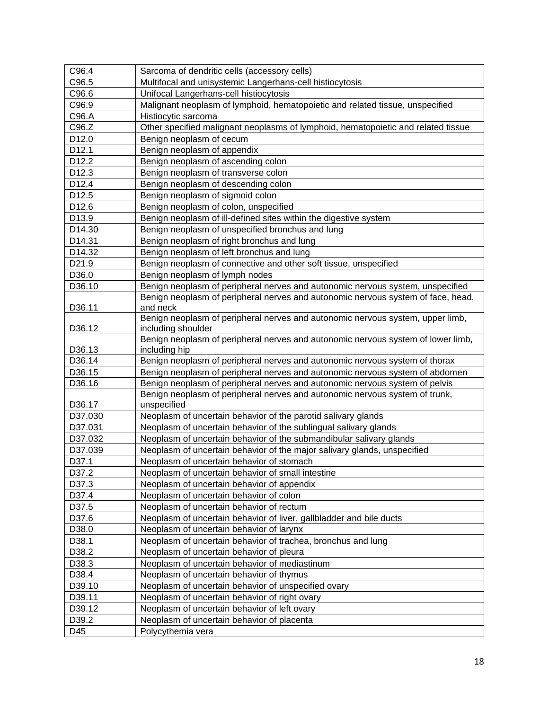| C96.4   | Sarcoma of dendritic cells (accessory cells)                                      |
|---------|-----------------------------------------------------------------------------------|
| C96.5   | Multifocal and unisystemic Langerhans-cell histiocytosis                          |
| C96.6   | Unifocal Langerhans-cell histiocytosis                                            |
| C96.9   | Malignant neoplasm of lymphoid, hematopoietic and related tissue, unspecified     |
| C96.A   | Histiocytic sarcoma                                                               |
| C96.Z   | Other specified malignant neoplasms of lymphoid, hematopoietic and related tissue |
| D12.0   | Benign neoplasm of cecum                                                          |
| D12.1   | Benign neoplasm of appendix                                                       |
| D12.2   | Benign neoplasm of ascending colon                                                |
| D12.3   | Benign neoplasm of transverse colon                                               |
| D12.4   | Benign neoplasm of descending colon                                               |
| D12.5   | Benign neoplasm of sigmoid colon                                                  |
| D12.6   | Benign neoplasm of colon, unspecified                                             |
| D13.9   | Benign neoplasm of ill-defined sites within the digestive system                  |
| D14.30  | Benign neoplasm of unspecified bronchus and lung                                  |
| D14.31  | Benign neoplasm of right bronchus and lung                                        |
| D14.32  | Benign neoplasm of left bronchus and lung                                         |
| D21.9   | Benign neoplasm of connective and other soft tissue, unspecified                  |
| D36.0   | Benign neoplasm of lymph nodes                                                    |
| D36.10  | Benign neoplasm of peripheral nerves and autonomic nervous system, unspecified    |
|         | Benign neoplasm of peripheral nerves and autonomic nervous system of face, head,  |
| D36.11  | and neck                                                                          |
|         | Benign neoplasm of peripheral nerves and autonomic nervous system, upper limb,    |
| D36.12  | including shoulder                                                                |
|         | Benign neoplasm of peripheral nerves and autonomic nervous system of lower limb,  |
| D36.13  | including hip                                                                     |
| D36.14  | Benign neoplasm of peripheral nerves and autonomic nervous system of thorax       |
| D36.15  | Benign neoplasm of peripheral nerves and autonomic nervous system of abdomen      |
| D36.16  | Benign neoplasm of peripheral nerves and autonomic nervous system of pelvis       |
|         | Benign neoplasm of peripheral nerves and autonomic nervous system of trunk,       |
| D36.17  | unspecified                                                                       |
| D37.030 | Neoplasm of uncertain behavior of the parotid salivary glands                     |
| D37.031 | Neoplasm of uncertain behavior of the sublingual salivary glands                  |
| D37.032 | Neoplasm of uncertain behavior of the submandibular salivary glands               |
| D37.039 | Neoplasm of uncertain behavior of the major salivary glands, unspecified          |
| D37.1   | Neoplasm of uncertain behavior of stomach                                         |
| D37.2   | Neoplasm of uncertain behavior of small intestine                                 |
| D37.3   | Neoplasm of uncertain behavior of appendix                                        |
| D37.4   | Neoplasm of uncertain behavior of colon                                           |
| D37.5   | Neoplasm of uncertain behavior of rectum                                          |
| D37.6   | Neoplasm of uncertain behavior of liver, gallbladder and bile ducts               |
| D38.0   | Neoplasm of uncertain behavior of larynx                                          |
| D38.1   | Neoplasm of uncertain behavior of trachea, bronchus and lung                      |
| D38.2   | Neoplasm of uncertain behavior of pleura                                          |
| D38.3   | Neoplasm of uncertain behavior of mediastinum                                     |
| D38.4   | Neoplasm of uncertain behavior of thymus                                          |
| D39.10  | Neoplasm of uncertain behavior of unspecified ovary                               |
| D39.11  | Neoplasm of uncertain behavior of right ovary                                     |
| D39.12  | Neoplasm of uncertain behavior of left ovary                                      |
| D39.2   | Neoplasm of uncertain behavior of placenta                                        |
| D45     | Polycythemia vera                                                                 |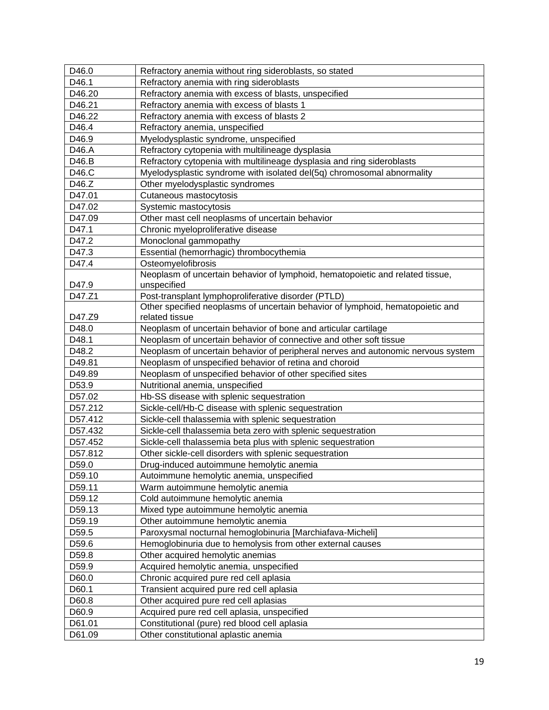| D46.0             | Refractory anemia without ring sideroblasts, so stated                           |
|-------------------|----------------------------------------------------------------------------------|
| D46.1             | Refractory anemia with ring sideroblasts                                         |
| D46.20            | Refractory anemia with excess of blasts, unspecified                             |
| D46.21            | Refractory anemia with excess of blasts 1                                        |
| D46.22            | Refractory anemia with excess of blasts 2                                        |
| D46.4             | Refractory anemia, unspecified                                                   |
| D46.9             | Myelodysplastic syndrome, unspecified                                            |
| D46.A             | Refractory cytopenia with multilineage dysplasia                                 |
| D46.B             | Refractory cytopenia with multilineage dysplasia and ring sideroblasts           |
| D46.C             | Myelodysplastic syndrome with isolated del(5q) chromosomal abnormality           |
| D46.Z             | Other myelodysplastic syndromes                                                  |
| D47.01            | Cutaneous mastocytosis                                                           |
| D47.02            | Systemic mastocytosis                                                            |
| D47.09            | Other mast cell neoplasms of uncertain behavior                                  |
| D47.1             | Chronic myeloproliferative disease                                               |
| D47.2             | Monoclonal gammopathy                                                            |
| D47.3             | Essential (hemorrhagic) thrombocythemia                                          |
| D47.4             | Osteomyelofibrosis                                                               |
|                   | Neoplasm of uncertain behavior of lymphoid, hematopoietic and related tissue,    |
| D47.9             | unspecified                                                                      |
| D47.Z1            | Post-transplant lymphoproliferative disorder (PTLD)                              |
|                   | Other specified neoplasms of uncertain behavior of lymphoid, hematopoietic and   |
| D47.Z9            | related tissue                                                                   |
| D48.0             | Neoplasm of uncertain behavior of bone and articular cartilage                   |
| D48.1             | Neoplasm of uncertain behavior of connective and other soft tissue               |
| D48.2             | Neoplasm of uncertain behavior of peripheral nerves and autonomic nervous system |
| D49.81            | Neoplasm of unspecified behavior of retina and choroid                           |
| D49.89            | Neoplasm of unspecified behavior of other specified sites                        |
| D53.9             | Nutritional anemia, unspecified                                                  |
| D57.02            | Hb-SS disease with splenic sequestration                                         |
| D57.212           | Sickle-cell/Hb-C disease with splenic sequestration                              |
| D57.412           | Sickle-cell thalassemia with splenic sequestration                               |
| D57.432           | Sickle-cell thalassemia beta zero with splenic sequestration                     |
| D57.452           | Sickle-cell thalassemia beta plus with splenic sequestration                     |
| D57.812           | Other sickle-cell disorders with splenic sequestration                           |
| D <sub>59.0</sub> | Drug-induced autoimmune hemolytic anemia                                         |
| D59.10            | Autoimmune hemolytic anemia, unspecified                                         |
| D59.11            | Warm autoimmune hemolytic anemia                                                 |
| D59.12            | Cold autoimmune hemolytic anemia                                                 |
| D59.13            | Mixed type autoimmune hemolytic anemia                                           |
| D59.19            | Other autoimmune hemolytic anemia                                                |
| D59.5             | Paroxysmal nocturnal hemoglobinuria [Marchiafava-Micheli]                        |
| D59.6             | Hemoglobinuria due to hemolysis from other external causes                       |
| D59.8             | Other acquired hemolytic anemias                                                 |
| D59.9             | Acquired hemolytic anemia, unspecified                                           |
| D60.0             | Chronic acquired pure red cell aplasia                                           |
| D60.1             | Transient acquired pure red cell aplasia                                         |
| D60.8             | Other acquired pure red cell aplasias                                            |
| D60.9             | Acquired pure red cell aplasia, unspecified                                      |
| D61.01            | Constitutional (pure) red blood cell aplasia                                     |
| D61.09            | Other constitutional aplastic anemia                                             |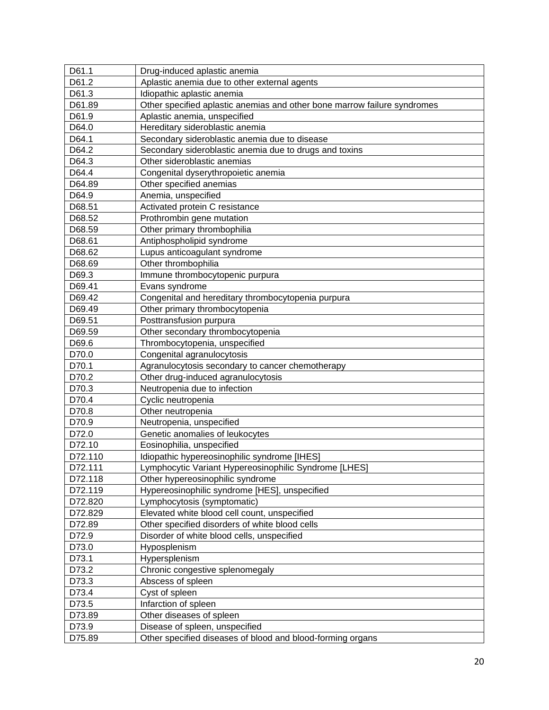| D61.1   | Drug-induced aplastic anemia                                             |
|---------|--------------------------------------------------------------------------|
| D61.2   | Aplastic anemia due to other external agents                             |
| D61.3   | Idiopathic aplastic anemia                                               |
| D61.89  | Other specified aplastic anemias and other bone marrow failure syndromes |
| D61.9   | Aplastic anemia, unspecified                                             |
| D64.0   | Hereditary sideroblastic anemia                                          |
| D64.1   | Secondary sideroblastic anemia due to disease                            |
| D64.2   | Secondary sideroblastic anemia due to drugs and toxins                   |
| D64.3   | Other sideroblastic anemias                                              |
| D64.4   | Congenital dyserythropoietic anemia                                      |
| D64.89  | Other specified anemias                                                  |
| D64.9   | Anemia, unspecified                                                      |
| D68.51  | Activated protein C resistance                                           |
| D68.52  | Prothrombin gene mutation                                                |
| D68.59  | Other primary thrombophilia                                              |
| D68.61  | Antiphospholipid syndrome                                                |
| D68.62  | Lupus anticoagulant syndrome                                             |
| D68.69  | Other thrombophilia                                                      |
| D69.3   | Immune thrombocytopenic purpura                                          |
| D69.41  | Evans syndrome                                                           |
| D69.42  | Congenital and hereditary thrombocytopenia purpura                       |
| D69.49  | Other primary thrombocytopenia                                           |
| D69.51  | Posttransfusion purpura                                                  |
| D69.59  | Other secondary thrombocytopenia                                         |
| D69.6   | Thrombocytopenia, unspecified                                            |
| D70.0   | Congenital agranulocytosis                                               |
| D70.1   | Agranulocytosis secondary to cancer chemotherapy                         |
| D70.2   | Other drug-induced agranulocytosis                                       |
| D70.3   | Neutropenia due to infection                                             |
| D70.4   | Cyclic neutropenia                                                       |
| D70.8   | Other neutropenia                                                        |
| D70.9   | Neutropenia, unspecified                                                 |
| D72.0   | Genetic anomalies of leukocytes                                          |
| D72.10  | Eosinophilia, unspecified                                                |
| D72.110 | Idiopathic hypereosinophilic syndrome [IHES]                             |
| D72.111 | Lymphocytic Variant Hypereosinophilic Syndrome [LHES]                    |
| D72.118 | Other hypereosinophilic syndrome                                         |
| D72.119 | Hypereosinophilic syndrome [HES], unspecified                            |
| D72.820 | Lymphocytosis (symptomatic)                                              |
| D72.829 | Elevated white blood cell count, unspecified                             |
| D72.89  | Other specified disorders of white blood cells                           |
| D72.9   | Disorder of white blood cells, unspecified                               |
| D73.0   | Hyposplenism                                                             |
| D73.1   | Hypersplenism                                                            |
| D73.2   | Chronic congestive splenomegaly                                          |
| D73.3   | Abscess of spleen                                                        |
| D73.4   | Cyst of spleen                                                           |
| D73.5   | Infarction of spleen                                                     |
| D73.89  | Other diseases of spleen                                                 |
| D73.9   | Disease of spleen, unspecified                                           |
| D75.89  | Other specified diseases of blood and blood-forming organs               |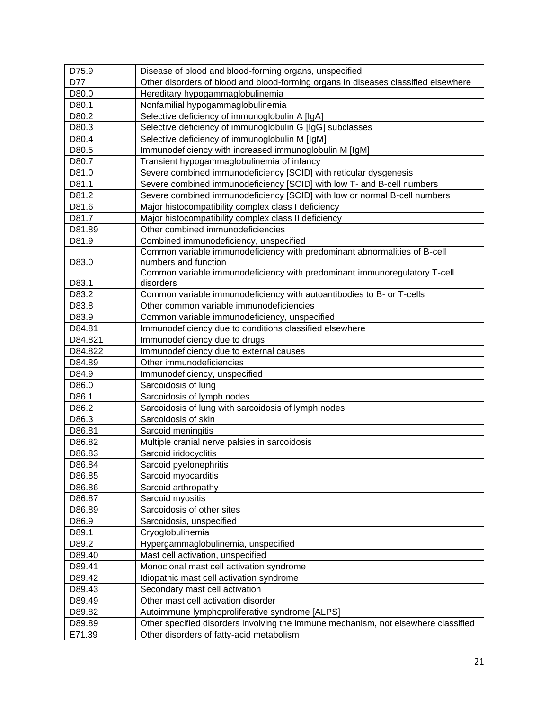| D75.9   | Disease of blood and blood-forming organs, unspecified                             |
|---------|------------------------------------------------------------------------------------|
| D77     | Other disorders of blood and blood-forming organs in diseases classified elsewhere |
| D80.0   | Hereditary hypogammaglobulinemia                                                   |
| D80.1   | Nonfamilial hypogammaglobulinemia                                                  |
| D80.2   | Selective deficiency of immunoglobulin A [IgA]                                     |
| D80.3   | Selective deficiency of immunoglobulin G [IgG] subclasses                          |
| D80.4   | Selective deficiency of immunoglobulin M [IgM]                                     |
| D80.5   | Immunodeficiency with increased immunoglobulin M [IgM]                             |
| D80.7   | Transient hypogammaglobulinemia of infancy                                         |
| D81.0   | Severe combined immunodeficiency [SCID] with reticular dysgenesis                  |
| D81.1   | Severe combined immunodeficiency [SCID] with low T- and B-cell numbers             |
| D81.2   | Severe combined immunodeficiency [SCID] with low or normal B-cell numbers          |
| D81.6   | Major histocompatibility complex class I deficiency                                |
| D81.7   | Major histocompatibility complex class II deficiency                               |
| D81.89  | Other combined immunodeficiencies                                                  |
| D81.9   | Combined immunodeficiency, unspecified                                             |
|         | Common variable immunodeficiency with predominant abnormalities of B-cell          |
| D83.0   | numbers and function                                                               |
|         | Common variable immunodeficiency with predominant immunoregulatory T-cell          |
| D83.1   | disorders                                                                          |
| D83.2   | Common variable immunodeficiency with autoantibodies to B- or T-cells              |
| D83.8   | Other common variable immunodeficiencies                                           |
| D83.9   | Common variable immunodeficiency, unspecified                                      |
| D84.81  | Immunodeficiency due to conditions classified elsewhere                            |
| D84.821 | Immunodeficiency due to drugs                                                      |
| D84.822 | Immunodeficiency due to external causes                                            |
| D84.89  | Other immunodeficiencies                                                           |
| D84.9   | Immunodeficiency, unspecified                                                      |
| D86.0   | Sarcoidosis of lung                                                                |
| D86.1   | Sarcoidosis of lymph nodes                                                         |
| D86.2   | Sarcoidosis of lung with sarcoidosis of lymph nodes                                |
| D86.3   | Sarcoidosis of skin                                                                |
| D86.81  | Sarcoid meningitis                                                                 |
| D86.82  | Multiple cranial nerve palsies in sarcoidosis                                      |
| D86.83  | Sarcoid iridocyclitis                                                              |
| D86.84  | Sarcoid pyelonephritis                                                             |
| D86.85  | Sarcoid myocarditis                                                                |
| D86.86  | Sarcoid arthropathy                                                                |
| D86.87  | Sarcoid myositis                                                                   |
| D86.89  | Sarcoidosis of other sites                                                         |
| D86.9   | Sarcoidosis, unspecified                                                           |
| D89.1   | Cryoglobulinemia                                                                   |
| D89.2   | Hypergammaglobulinemia, unspecified                                                |
| D89.40  | Mast cell activation, unspecified                                                  |
| D89.41  | Monoclonal mast cell activation syndrome                                           |
| D89.42  | Idiopathic mast cell activation syndrome                                           |
| D89.43  | Secondary mast cell activation                                                     |
| D89.49  | Other mast cell activation disorder                                                |
| D89.82  | Autoimmune lymphoproliferative syndrome [ALPS]                                     |
| D89.89  | Other specified disorders involving the immune mechanism, not elsewhere classified |
| E71.39  | Other disorders of fatty-acid metabolism                                           |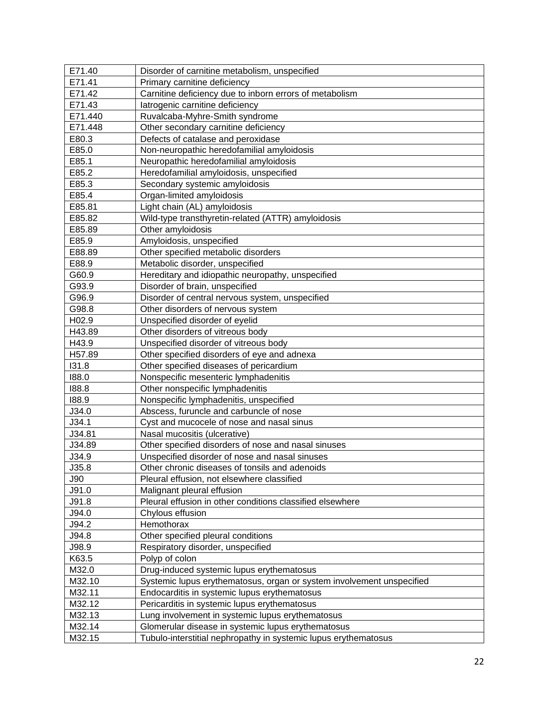| E71.40  | Disorder of carnitine metabolism, unspecified                         |
|---------|-----------------------------------------------------------------------|
| E71.41  | Primary carnitine deficiency                                          |
| E71.42  | Carnitine deficiency due to inborn errors of metabolism               |
| E71.43  | latrogenic carnitine deficiency                                       |
| E71.440 | Ruvalcaba-Myhre-Smith syndrome                                        |
| E71.448 | Other secondary carnitine deficiency                                  |
| E80.3   | Defects of catalase and peroxidase                                    |
| E85.0   | Non-neuropathic heredofamilial amyloidosis                            |
| E85.1   | Neuropathic heredofamilial amyloidosis                                |
| E85.2   | Heredofamilial amyloidosis, unspecified                               |
| E85.3   | Secondary systemic amyloidosis                                        |
| E85.4   | Organ-limited amyloidosis                                             |
| E85.81  | Light chain (AL) amyloidosis                                          |
| E85.82  | Wild-type transthyretin-related (ATTR) amyloidosis                    |
| E85.89  | Other amyloidosis                                                     |
| E85.9   | Amyloidosis, unspecified                                              |
| E88.89  | Other specified metabolic disorders                                   |
| E88.9   | Metabolic disorder, unspecified                                       |
| G60.9   | Hereditary and idiopathic neuropathy, unspecified                     |
| G93.9   | Disorder of brain, unspecified                                        |
| G96.9   | Disorder of central nervous system, unspecified                       |
| G98.8   | Other disorders of nervous system                                     |
| H02.9   | Unspecified disorder of eyelid                                        |
| H43.89  | Other disorders of vitreous body                                      |
| H43.9   | Unspecified disorder of vitreous body                                 |
| H57.89  | Other specified disorders of eye and adnexa                           |
| 131.8   | Other specified diseases of pericardium                               |
| 188.0   | Nonspecific mesenteric lymphadenitis                                  |
| 188.8   | Other nonspecific lymphadenitis                                       |
| 188.9   | Nonspecific lymphadenitis, unspecified                                |
| J34.0   | Abscess, furuncle and carbuncle of nose                               |
| J34.1   | Cyst and mucocele of nose and nasal sinus                             |
| J34.81  | Nasal mucositis (ulcerative)                                          |
| J34.89  | Other specified disorders of nose and nasal sinuses                   |
| J34.9   | Unspecified disorder of nose and nasal sinuses                        |
| J35.8   | Other chronic diseases of tonsils and adenoids                        |
| J90     | Pleural effusion, not elsewhere classified                            |
| J91.0   | Malignant pleural effusion                                            |
| J91.8   | Pleural effusion in other conditions classified elsewhere             |
| J94.0   | Chylous effusion                                                      |
| J94.2   | Hemothorax                                                            |
| J94.8   | Other specified pleural conditions                                    |
| J98.9   | Respiratory disorder, unspecified                                     |
| K63.5   | Polyp of colon                                                        |
| M32.0   | Drug-induced systemic lupus erythematosus                             |
| M32.10  | Systemic lupus erythematosus, organ or system involvement unspecified |
| M32.11  | Endocarditis in systemic lupus erythematosus                          |
| M32.12  | Pericarditis in systemic lupus erythematosus                          |
| M32.13  | Lung involvement in systemic lupus erythematosus                      |
| M32.14  | Glomerular disease in systemic lupus erythematosus                    |
| M32.15  | Tubulo-interstitial nephropathy in systemic lupus erythematosus       |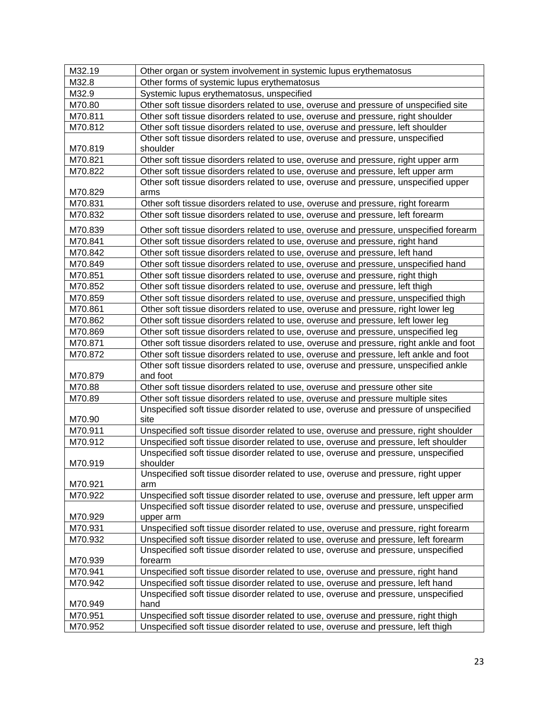| M32.19  | Other organ or system involvement in systemic lupus erythematosus                                                                                                         |
|---------|---------------------------------------------------------------------------------------------------------------------------------------------------------------------------|
| M32.8   | Other forms of systemic lupus erythematosus                                                                                                                               |
| M32.9   | Systemic lupus erythematosus, unspecified                                                                                                                                 |
| M70.80  | Other soft tissue disorders related to use, overuse and pressure of unspecified site                                                                                      |
| M70.811 | Other soft tissue disorders related to use, overuse and pressure, right shoulder                                                                                          |
| M70.812 | Other soft tissue disorders related to use, overuse and pressure, left shoulder                                                                                           |
|         | Other soft tissue disorders related to use, overuse and pressure, unspecified                                                                                             |
| M70.819 | shoulder                                                                                                                                                                  |
| M70.821 | Other soft tissue disorders related to use, overuse and pressure, right upper arm                                                                                         |
| M70.822 | Other soft tissue disorders related to use, overuse and pressure, left upper arm                                                                                          |
|         | Other soft tissue disorders related to use, overuse and pressure, unspecified upper                                                                                       |
| M70.829 | arms                                                                                                                                                                      |
| M70.831 | Other soft tissue disorders related to use, overuse and pressure, right forearm                                                                                           |
| M70.832 | Other soft tissue disorders related to use, overuse and pressure, left forearm                                                                                            |
| M70.839 | Other soft tissue disorders related to use, overuse and pressure, unspecified forearm                                                                                     |
| M70.841 | Other soft tissue disorders related to use, overuse and pressure, right hand                                                                                              |
| M70.842 | Other soft tissue disorders related to use, overuse and pressure, left hand                                                                                               |
| M70.849 | Other soft tissue disorders related to use, overuse and pressure, unspecified hand                                                                                        |
| M70.851 | Other soft tissue disorders related to use, overuse and pressure, right thigh                                                                                             |
| M70.852 | Other soft tissue disorders related to use, overuse and pressure, left thigh                                                                                              |
| M70.859 | Other soft tissue disorders related to use, overuse and pressure, unspecified thigh                                                                                       |
| M70.861 | Other soft tissue disorders related to use, overuse and pressure, right lower leg                                                                                         |
| M70.862 | Other soft tissue disorders related to use, overuse and pressure, left lower leg                                                                                          |
| M70.869 | Other soft tissue disorders related to use, overuse and pressure, unspecified leg                                                                                         |
| M70.871 | Other soft tissue disorders related to use, overuse and pressure, right ankle and foot                                                                                    |
| M70.872 | Other soft tissue disorders related to use, overuse and pressure, left ankle and foot                                                                                     |
|         | Other soft tissue disorders related to use, overuse and pressure, unspecified ankle                                                                                       |
| M70.879 | and foot                                                                                                                                                                  |
| M70.88  | Other soft tissue disorders related to use, overuse and pressure other site                                                                                               |
| M70.89  | Other soft tissue disorders related to use, overuse and pressure multiple sites                                                                                           |
| M70.90  | Unspecified soft tissue disorder related to use, overuse and pressure of unspecified<br>site                                                                              |
| M70.911 | Unspecified soft tissue disorder related to use, overuse and pressure, right shoulder                                                                                     |
| M70.912 | Unspecified soft tissue disorder related to use, overuse and pressure, left shoulder                                                                                      |
|         | Unspecified soft tissue disorder related to use, overuse and pressure, unspecified                                                                                        |
| M70.919 | shoulder                                                                                                                                                                  |
|         | Unspecified soft tissue disorder related to use, overuse and pressure, right upper                                                                                        |
| M70.921 | arm                                                                                                                                                                       |
| M70.922 | Unspecified soft tissue disorder related to use, overuse and pressure, left upper arm                                                                                     |
|         | Unspecified soft tissue disorder related to use, overuse and pressure, unspecified                                                                                        |
| M70.929 | upper arm                                                                                                                                                                 |
| M70.931 | Unspecified soft tissue disorder related to use, overuse and pressure, right forearm                                                                                      |
| M70.932 | Unspecified soft tissue disorder related to use, overuse and pressure, left forearm<br>Unspecified soft tissue disorder related to use, overuse and pressure, unspecified |
| M70.939 | forearm                                                                                                                                                                   |
| M70.941 | Unspecified soft tissue disorder related to use, overuse and pressure, right hand                                                                                         |
| M70.942 | Unspecified soft tissue disorder related to use, overuse and pressure, left hand                                                                                          |
|         | Unspecified soft tissue disorder related to use, overuse and pressure, unspecified                                                                                        |
| M70.949 | hand                                                                                                                                                                      |
| M70.951 | Unspecified soft tissue disorder related to use, overuse and pressure, right thigh                                                                                        |
| M70.952 | Unspecified soft tissue disorder related to use, overuse and pressure, left thigh                                                                                         |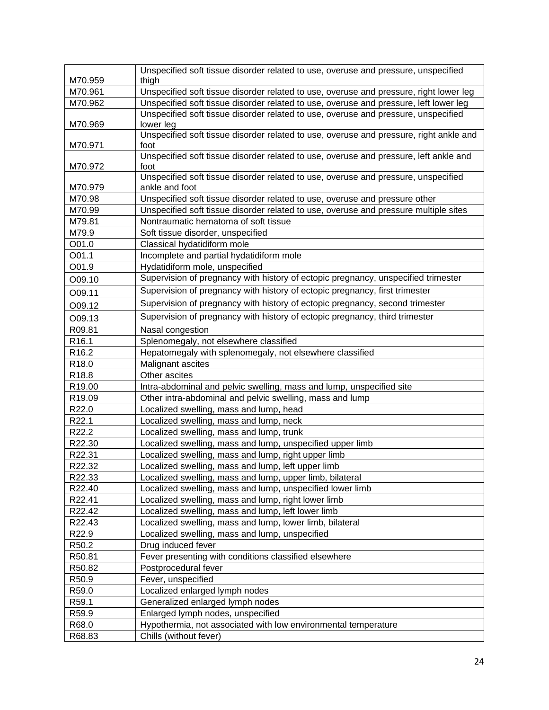| M70.959           | Unspecified soft tissue disorder related to use, overuse and pressure, unspecified<br>thigh     |
|-------------------|-------------------------------------------------------------------------------------------------|
|                   |                                                                                                 |
| M70.961           | Unspecified soft tissue disorder related to use, overuse and pressure, right lower leg          |
| M70.962           | Unspecified soft tissue disorder related to use, overuse and pressure, left lower leg           |
| M70.969           | Unspecified soft tissue disorder related to use, overuse and pressure, unspecified<br>lower leg |
|                   | Unspecified soft tissue disorder related to use, overuse and pressure, right ankle and          |
| M70.971           | foot                                                                                            |
|                   | Unspecified soft tissue disorder related to use, overuse and pressure, left ankle and           |
| M70.972           | foot                                                                                            |
|                   | Unspecified soft tissue disorder related to use, overuse and pressure, unspecified              |
| M70.979           | ankle and foot                                                                                  |
| M70.98            | Unspecified soft tissue disorder related to use, overuse and pressure other                     |
| M70.99            | Unspecified soft tissue disorder related to use, overuse and pressure multiple sites            |
| M79.81            | Nontraumatic hematoma of soft tissue                                                            |
| M79.9             | Soft tissue disorder, unspecified                                                               |
| O01.0             | Classical hydatidiform mole                                                                     |
| O01.1             | Incomplete and partial hydatidiform mole                                                        |
| O01.9             | Hydatidiform mole, unspecified                                                                  |
| O09.10            | Supervision of pregnancy with history of ectopic pregnancy, unspecified trimester               |
| O09.11            | Supervision of pregnancy with history of ectopic pregnancy, first trimester                     |
| O09.12            | Supervision of pregnancy with history of ectopic pregnancy, second trimester                    |
| O09.13            | Supervision of pregnancy with history of ectopic pregnancy, third trimester                     |
| R09.81            | Nasal congestion                                                                                |
| R <sub>16.1</sub> | Splenomegaly, not elsewhere classified                                                          |
| R <sub>16.2</sub> | Hepatomegaly with splenomegaly, not elsewhere classified                                        |
| R <sub>18.0</sub> | Malignant ascites                                                                               |
| R18.8             | Other ascites                                                                                   |
| R19.00            | Intra-abdominal and pelvic swelling, mass and lump, unspecified site                            |
| R19.09            | Other intra-abdominal and pelvic swelling, mass and lump                                        |
| R22.0             | Localized swelling, mass and lump, head                                                         |
| R22.1             | Localized swelling, mass and lump, neck                                                         |
| R22.2             | Localized swelling, mass and lump, trunk                                                        |
| R22.30            | Localized swelling, mass and lump, unspecified upper limb                                       |
| R22.31            | Localized swelling, mass and lump, right upper limb                                             |
| R22.32            | Localized swelling, mass and lump, left upper limb                                              |
| R22.33            | Localized swelling, mass and lump, upper limb, bilateral                                        |
| R22.40            | Localized swelling, mass and lump, unspecified lower limb                                       |
| R22.41            | Localized swelling, mass and lump, right lower limb                                             |
| R22.42            | Localized swelling, mass and lump, left lower limb                                              |
| R22.43            | Localized swelling, mass and lump, lower limb, bilateral                                        |
| R22.9             | Localized swelling, mass and lump, unspecified                                                  |
| R50.2             | Drug induced fever                                                                              |
| R50.81            | Fever presenting with conditions classified elsewhere                                           |
| R50.82            | Postprocedural fever                                                                            |
| R50.9             | Fever, unspecified                                                                              |
| R59.0             | Localized enlarged lymph nodes                                                                  |
| R59.1             | Generalized enlarged lymph nodes                                                                |
| R59.9             | Enlarged lymph nodes, unspecified                                                               |
| R68.0             | Hypothermia, not associated with low environmental temperature                                  |
| R68.83            | Chills (without fever)                                                                          |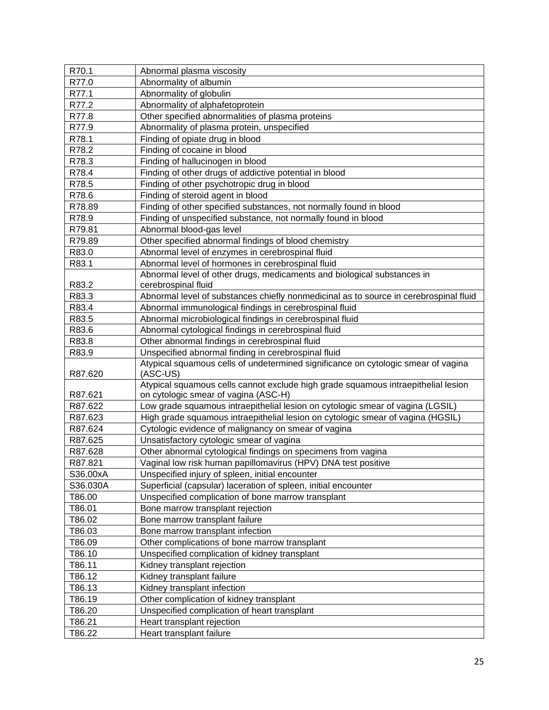| R70.1    | Abnormal plasma viscosity                                                                                                 |
|----------|---------------------------------------------------------------------------------------------------------------------------|
| R77.0    | Abnormality of albumin                                                                                                    |
| R77.1    | Abnormality of globulin                                                                                                   |
| R77.2    | Abnormality of alphafetoprotein                                                                                           |
| R77.8    | Other specified abnormalities of plasma proteins                                                                          |
| R77.9    | Abnormality of plasma protein, unspecified                                                                                |
| R78.1    | Finding of opiate drug in blood                                                                                           |
| R78.2    | Finding of cocaine in blood                                                                                               |
| R78.3    | Finding of hallucinogen in blood                                                                                          |
| R78.4    | Finding of other drugs of addictive potential in blood                                                                    |
| R78.5    | Finding of other psychotropic drug in blood                                                                               |
| R78.6    | Finding of steroid agent in blood                                                                                         |
| R78.89   | Finding of other specified substances, not normally found in blood                                                        |
| R78.9    | Finding of unspecified substance, not normally found in blood                                                             |
| R79.81   | Abnormal blood-gas level                                                                                                  |
| R79.89   | Other specified abnormal findings of blood chemistry                                                                      |
| R83.0    | Abnormal level of enzymes in cerebrospinal fluid                                                                          |
| R83.1    | Abnormal level of hormones in cerebrospinal fluid                                                                         |
|          | Abnormal level of other drugs, medicaments and biological substances in                                                   |
| R83.2    | cerebrospinal fluid                                                                                                       |
| R83.3    | Abnormal level of substances chiefly nonmedicinal as to source in cerebrospinal fluid                                     |
| R83.4    | Abnormal immunological findings in cerebrospinal fluid                                                                    |
| R83.5    | Abnormal microbiological findings in cerebrospinal fluid                                                                  |
| R83.6    | Abnormal cytological findings in cerebrospinal fluid                                                                      |
| R83.8    | Other abnormal findings in cerebrospinal fluid                                                                            |
| R83.9    | Unspecified abnormal finding in cerebrospinal fluid                                                                       |
| R87.620  | Atypical squamous cells of undetermined significance on cytologic smear of vagina<br>(ASC-US)                             |
| R87.621  | Atypical squamous cells cannot exclude high grade squamous intraepithelial lesion<br>on cytologic smear of vagina (ASC-H) |
| R87.622  | Low grade squamous intraepithelial lesion on cytologic smear of vagina (LGSIL)                                            |
| R87.623  | High grade squamous intraepithelial lesion on cytologic smear of vagina (HGSIL)                                           |
| R87.624  | Cytologic evidence of malignancy on smear of vagina                                                                       |
| R87.625  | Unsatisfactory cytologic smear of vagina                                                                                  |
| R87.628  | Other abnormal cytological findings on specimens from vagina                                                              |
| R87.821  | Vaginal low risk human papillomavirus (HPV) DNA test positive                                                             |
| S36.00xA | Unspecified injury of spleen, initial encounter                                                                           |
| S36.030A | Superficial (capsular) laceration of spleen, initial encounter                                                            |
| T86.00   | Unspecified complication of bone marrow transplant                                                                        |
| T86.01   | Bone marrow transplant rejection                                                                                          |
| T86.02   | Bone marrow transplant failure                                                                                            |
| T86.03   | Bone marrow transplant infection                                                                                          |
| T86.09   | Other complications of bone marrow transplant                                                                             |
| T86.10   | Unspecified complication of kidney transplant                                                                             |
| T86.11   | Kidney transplant rejection                                                                                               |
| T86.12   | Kidney transplant failure                                                                                                 |
| T86.13   | Kidney transplant infection                                                                                               |
| T86.19   | Other complication of kidney transplant                                                                                   |
| T86.20   | Unspecified complication of heart transplant                                                                              |
| T86.21   | Heart transplant rejection                                                                                                |
| T86.22   | Heart transplant failure                                                                                                  |
|          |                                                                                                                           |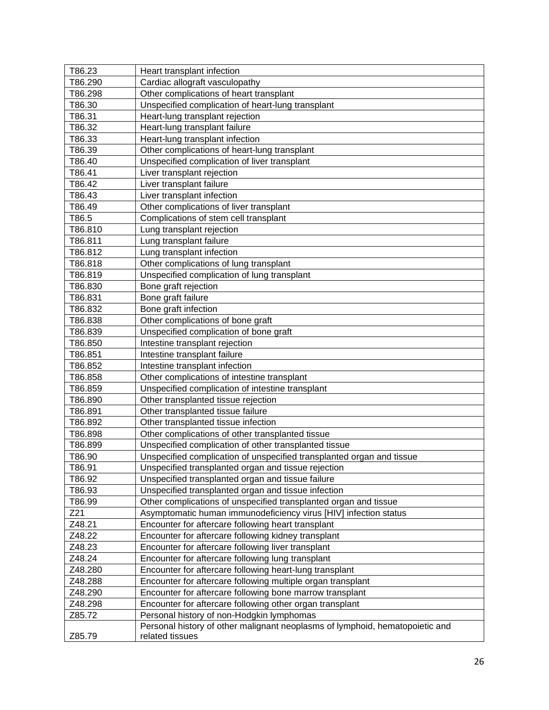| T86.23  | Heart transplant infection                                                   |
|---------|------------------------------------------------------------------------------|
| T86.290 | Cardiac allograft vasculopathy                                               |
| T86.298 | Other complications of heart transplant                                      |
| T86.30  | Unspecified complication of heart-lung transplant                            |
| T86.31  | Heart-lung transplant rejection                                              |
| T86.32  | Heart-lung transplant failure                                                |
| T86.33  | Heart-lung transplant infection                                              |
| T86.39  | Other complications of heart-lung transplant                                 |
| T86.40  | Unspecified complication of liver transplant                                 |
| T86.41  | Liver transplant rejection                                                   |
| T86.42  | Liver transplant failure                                                     |
| T86.43  | Liver transplant infection                                                   |
| T86.49  | Other complications of liver transplant                                      |
| T86.5   | Complications of stem cell transplant                                        |
| T86.810 | Lung transplant rejection                                                    |
| T86.811 | Lung transplant failure                                                      |
| T86.812 | Lung transplant infection                                                    |
| T86.818 | Other complications of lung transplant                                       |
| T86.819 | Unspecified complication of lung transplant                                  |
| T86.830 | Bone graft rejection                                                         |
| T86.831 | Bone graft failure                                                           |
| T86.832 | Bone graft infection                                                         |
| T86.838 | Other complications of bone graft                                            |
| T86.839 | Unspecified complication of bone graft                                       |
| T86.850 | Intestine transplant rejection                                               |
| T86.851 | Intestine transplant failure                                                 |
| T86.852 | Intestine transplant infection                                               |
| T86.858 | Other complications of intestine transplant                                  |
| T86.859 | Unspecified complication of intestine transplant                             |
| T86.890 | Other transplanted tissue rejection                                          |
| T86.891 | Other transplanted tissue failure                                            |
| T86.892 | Other transplanted tissue infection                                          |
| T86.898 | Other complications of other transplanted tissue                             |
| T86.899 | Unspecified complication of other transplanted tissue                        |
| T86.90  | Unspecified complication of unspecified transplanted organ and tissue        |
| T86.91  | Unspecified transplanted organ and tissue rejection                          |
| T86.92  | Unspecified transplanted organ and tissue failure                            |
| T86.93  | Unspecified transplanted organ and tissue infection                          |
| T86.99  | Other complications of unspecified transplanted organ and tissue             |
| Z21     | Asymptomatic human immunodeficiency virus [HIV] infection status             |
| Z48.21  | Encounter for aftercare following heart transplant                           |
| Z48.22  | Encounter for aftercare following kidney transplant                          |
| Z48.23  | Encounter for aftercare following liver transplant                           |
| Z48.24  | Encounter for aftercare following lung transplant                            |
| Z48.280 | Encounter for aftercare following heart-lung transplant                      |
| Z48.288 | Encounter for aftercare following multiple organ transplant                  |
| Z48.290 | Encounter for aftercare following bone marrow transplant                     |
| Z48.298 | Encounter for aftercare following other organ transplant                     |
| Z85.72  | Personal history of non-Hodgkin lymphomas                                    |
|         | Personal history of other malignant neoplasms of lymphoid, hematopoietic and |
| Z85.79  | related tissues                                                              |